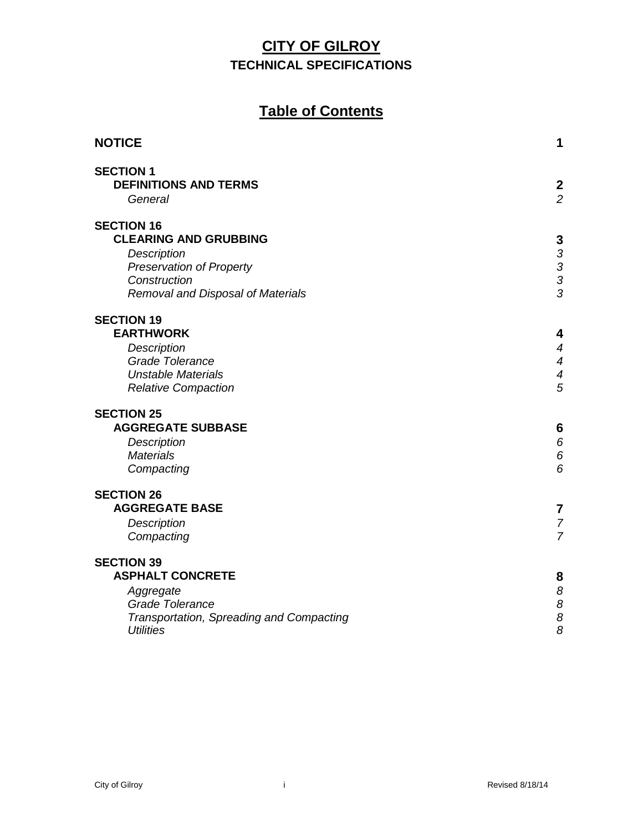# **Table of Contents**

| <b>NOTICE</b>                            | 1                                               |
|------------------------------------------|-------------------------------------------------|
| <b>SECTION 1</b>                         |                                                 |
| <b>DEFINITIONS AND TERMS</b>             | $\overline{\mathbf{c}}$                         |
| General                                  | $\overline{2}$                                  |
| <b>SECTION 16</b>                        |                                                 |
| <b>CLEARING AND GRUBBING</b>             |                                                 |
| Description                              |                                                 |
| <b>Preservation of Property</b>          | $\begin{array}{c} 3 \\ 3 \\ 3 \\ 3 \end{array}$ |
| Construction                             |                                                 |
| Removal and Disposal of Materials        |                                                 |
| <b>SECTION 19</b>                        |                                                 |
| <b>EARTHWORK</b>                         | 4                                               |
| Description                              | 4                                               |
| <b>Grade Tolerance</b>                   | 4                                               |
| <b>Unstable Materials</b>                | 4                                               |
| <b>Relative Compaction</b>               | $\overline{5}$                                  |
| <b>SECTION 25</b>                        |                                                 |
| <b>AGGREGATE SUBBASE</b>                 | 6                                               |
| Description                              | 6                                               |
| <b>Materials</b>                         | 6                                               |
| Compacting                               | 6                                               |
| <b>SECTION 26</b>                        |                                                 |
| <b>AGGREGATE BASE</b>                    | 7                                               |
| <b>Description</b>                       | $\overline{7}$                                  |
| Compacting                               | $\overline{7}$                                  |
| <b>SECTION 39</b>                        |                                                 |
| <b>ASPHALT CONCRETE</b>                  | 8                                               |
| Aggregate                                | 8                                               |
| <b>Grade Tolerance</b>                   |                                                 |
| Transportation, Spreading and Compacting | $\frac{8}{8}$                                   |
| <b>Utilities</b>                         | 8                                               |
|                                          |                                                 |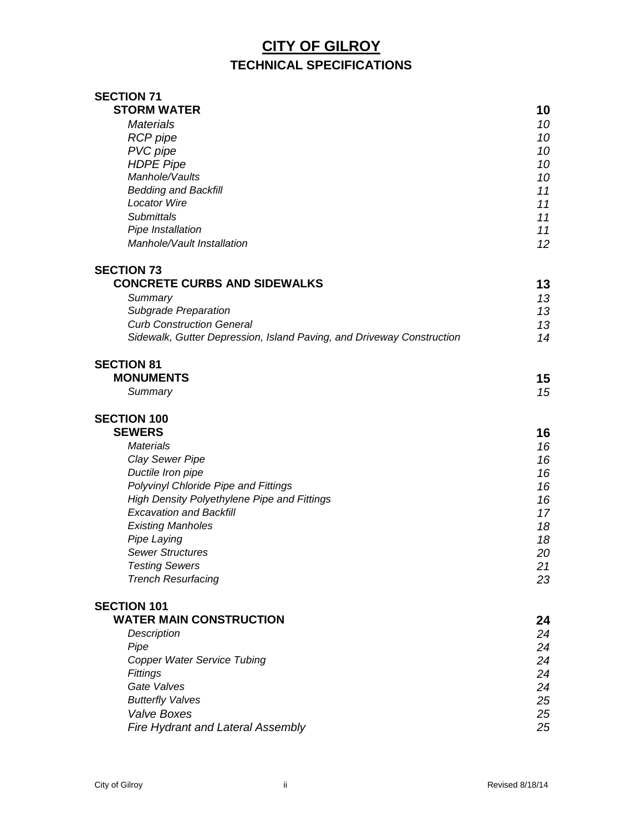| <b>SECTION 71</b>                                                     |    |
|-----------------------------------------------------------------------|----|
| <b>STORM WATER</b>                                                    | 10 |
| <b>Materials</b>                                                      | 10 |
| <b>RCP</b> pipe                                                       | 10 |
| PVC pipe                                                              | 10 |
| <b>HDPE Pipe</b>                                                      | 10 |
| Manhole/Vaults                                                        | 10 |
| <b>Bedding and Backfill</b>                                           | 11 |
| <b>Locator Wire</b>                                                   | 11 |
| <b>Submittals</b>                                                     | 11 |
| Pipe Installation                                                     | 11 |
| Manhole/Vault Installation                                            | 12 |
| <b>SECTION 73</b>                                                     |    |
| <b>CONCRETE CURBS AND SIDEWALKS</b>                                   | 13 |
| Summary                                                               | 13 |
| Subgrade Preparation                                                  | 13 |
| <b>Curb Construction General</b>                                      | 13 |
| Sidewalk, Gutter Depression, Island Paving, and Driveway Construction | 14 |
| <b>SECTION 81</b>                                                     |    |
| <b>MONUMENTS</b>                                                      | 15 |
| Summary                                                               | 15 |
| <b>SECTION 100</b>                                                    |    |
| <b>SEWERS</b>                                                         | 16 |
| <b>Materials</b>                                                      | 16 |
| Clay Sewer Pipe                                                       | 16 |
| Ductile Iron pipe                                                     | 16 |
| Polyvinyl Chloride Pipe and Fittings                                  | 16 |
| High Density Polyethylene Pipe and Fittings                           | 16 |
| <b>Excavation and Backfill</b>                                        | 17 |
| <b>Existing Manholes</b>                                              | 18 |
| Pipe Laying                                                           | 18 |
| <b>Sewer Structures</b>                                               | 20 |
| <b>Testing Sewers</b>                                                 | 21 |
| <b>Trench Resurfacing</b>                                             | 23 |
| <b>SECTION 101</b>                                                    |    |
| <b>WATER MAIN CONSTRUCTION</b>                                        | 24 |
| <b>Description</b>                                                    | 24 |
| Pipe                                                                  | 24 |
| <b>Copper Water Service Tubing</b>                                    | 24 |
| Fittings                                                              | 24 |
| Gate Valves                                                           | 24 |
| <b>Butterfly Valves</b>                                               | 25 |
| <b>Valve Boxes</b>                                                    | 25 |
| Fire Hydrant and Lateral Assembly                                     | 25 |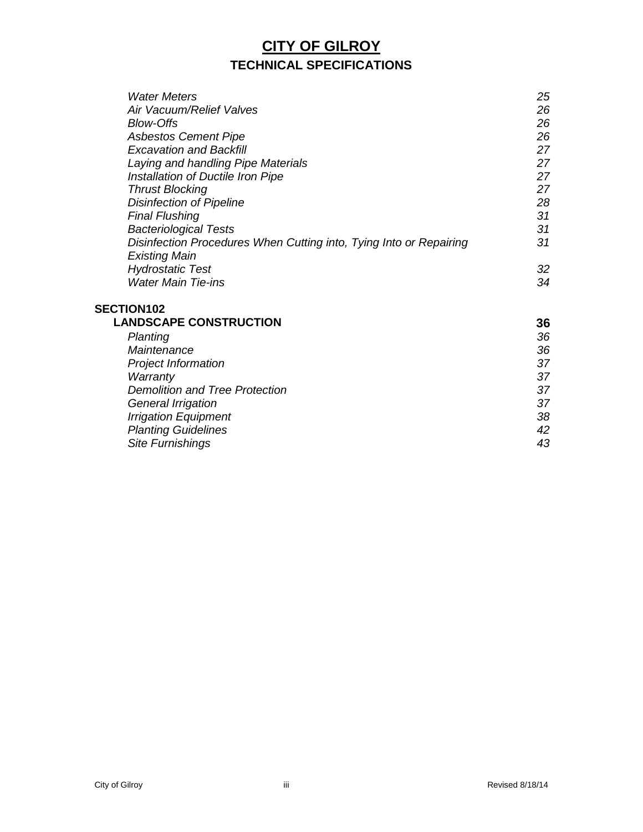| <b>Water Meters</b>                                                | 25 |
|--------------------------------------------------------------------|----|
| Air Vacuum/Relief Valves                                           | 26 |
| <b>Blow-Offs</b>                                                   | 26 |
| <b>Asbestos Cement Pipe</b>                                        | 26 |
| <b>Excavation and Backfill</b>                                     | 27 |
| Laying and handling Pipe Materials                                 | 27 |
| Installation of Ductile Iron Pipe                                  | 27 |
| <b>Thrust Blocking</b>                                             | 27 |
| <b>Disinfection of Pipeline</b>                                    | 28 |
| <b>Final Flushing</b>                                              | 31 |
| <b>Bacteriological Tests</b>                                       | 31 |
| Disinfection Procedures When Cutting into, Tying Into or Repairing | 31 |
| <b>Existing Main</b>                                               |    |
| <b>Hydrostatic Test</b>                                            | 32 |
| <b>Water Main Tie-ins</b>                                          | 34 |
| <b>SECTION102</b>                                                  |    |

| <b>LANDSCAPE CONSTRUCTION</b>         | 36 |
|---------------------------------------|----|
| Planting                              | 36 |
| Maintenance                           | 36 |
| <b>Project Information</b>            | 37 |
| Warranty                              | 37 |
| <b>Demolition and Tree Protection</b> | 37 |
| <b>General Irrigation</b>             | 37 |
| <b>Irrigation Equipment</b>           | 38 |
| <b>Planting Guidelines</b>            | 42 |
| <b>Site Furnishings</b>               | 43 |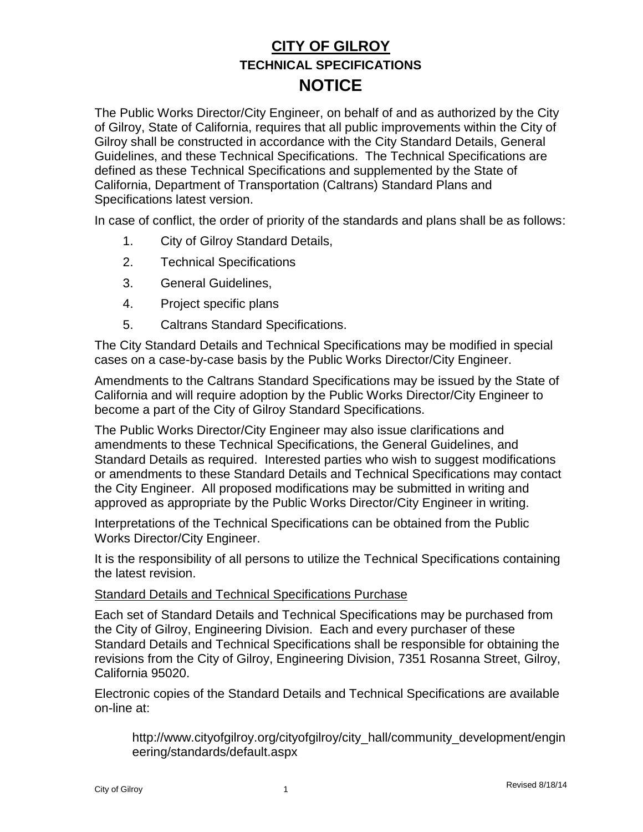The Public Works Director/City Engineer, on behalf of and as authorized by the City of Gilroy, State of California, requires that all public improvements within the City of Gilroy shall be constructed in accordance with the City Standard Details, General Guidelines, and these Technical Specifications. The Technical Specifications are defined as these Technical Specifications and supplemented by the State of California, Department of Transportation (Caltrans) Standard Plans and Specifications latest version.

In case of conflict, the order of priority of the standards and plans shall be as follows:

- 1. City of Gilroy Standard Details,
- 2. Technical Specifications
- 3. General Guidelines,
- 4. Project specific plans
- 5. Caltrans Standard Specifications.

The City Standard Details and Technical Specifications may be modified in special cases on a case-by-case basis by the Public Works Director/City Engineer.

Amendments to the Caltrans Standard Specifications may be issued by the State of California and will require adoption by the Public Works Director/City Engineer to become a part of the City of Gilroy Standard Specifications.

The Public Works Director/City Engineer may also issue clarifications and amendments to these Technical Specifications, the General Guidelines, and Standard Details as required. Interested parties who wish to suggest modifications or amendments to these Standard Details and Technical Specifications may contact the City Engineer. All proposed modifications may be submitted in writing and approved as appropriate by the Public Works Director/City Engineer in writing.

Interpretations of the Technical Specifications can be obtained from the Public Works Director/City Engineer.

It is the responsibility of all persons to utilize the Technical Specifications containing the latest revision.

#### Standard Details and Technical Specifications Purchase

Each set of Standard Details and Technical Specifications may be purchased from the City of Gilroy, Engineering Division. Each and every purchaser of these Standard Details and Technical Specifications shall be responsible for obtaining the revisions from the City of Gilroy, Engineering Division, 7351 Rosanna Street, Gilroy, California 95020.

Electronic copies of the Standard Details and Technical Specifications are available on-line at:

http://www.cityofgilroy.org/cityofgilroy/city\_hall/community\_development/engin eering/standards/default.aspx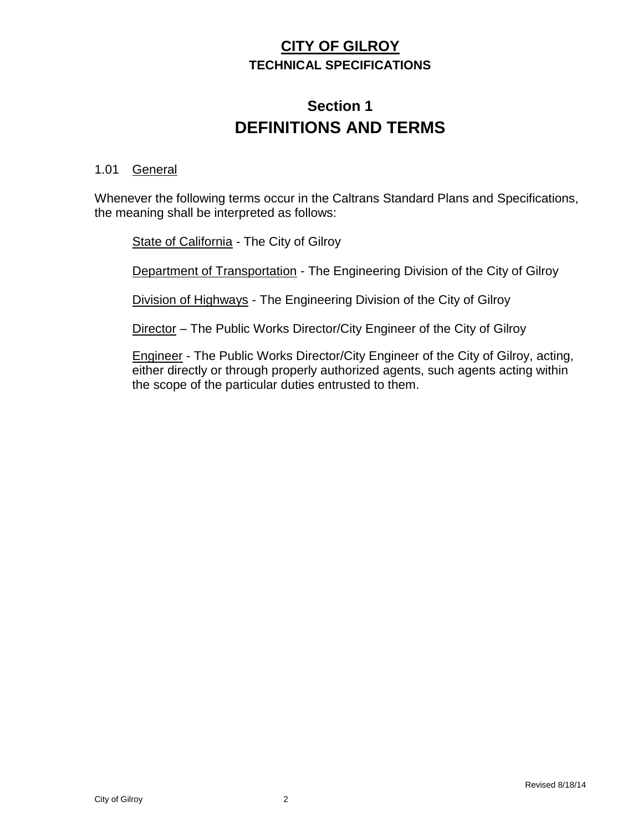# **Section 1 DEFINITIONS AND TERMS**

#### 1.01 General

Whenever the following terms occur in the Caltrans Standard Plans and Specifications, the meaning shall be interpreted as follows:

State of California - The City of Gilroy

Department of Transportation - The Engineering Division of the City of Gilroy

Division of Highways - The Engineering Division of the City of Gilroy

Director – The Public Works Director/City Engineer of the City of Gilroy

Engineer - The Public Works Director/City Engineer of the City of Gilroy, acting, either directly or through properly authorized agents, such agents acting within the scope of the particular duties entrusted to them.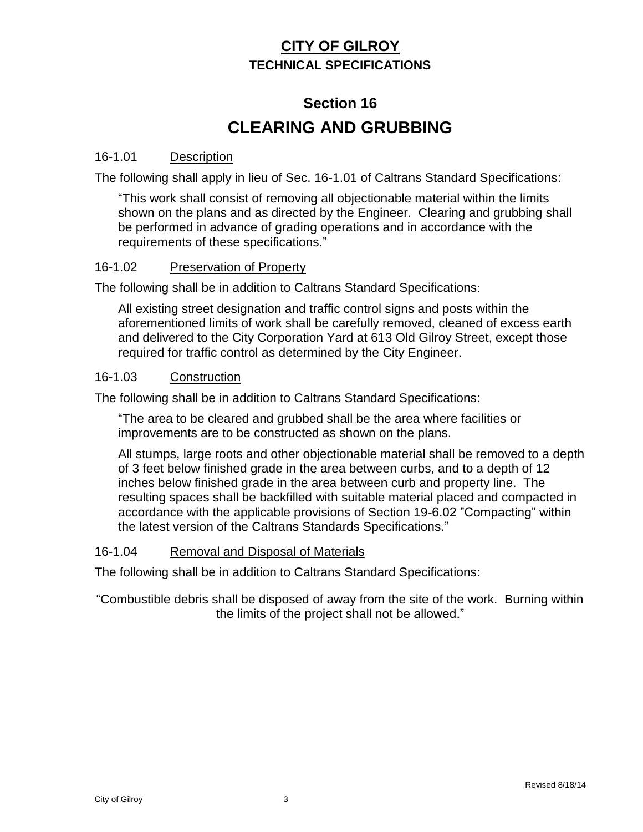# **Section 16 CLEARING AND GRUBBING**

#### 16-1.01 Description

The following shall apply in lieu of Sec. 16-1.01 of Caltrans Standard Specifications:

"This work shall consist of removing all objectionable material within the limits shown on the plans and as directed by the Engineer. Clearing and grubbing shall be performed in advance of grading operations and in accordance with the requirements of these specifications."

#### 16-1.02 Preservation of Property

The following shall be in addition to Caltrans Standard Specifications:

All existing street designation and traffic control signs and posts within the aforementioned limits of work shall be carefully removed, cleaned of excess earth and delivered to the City Corporation Yard at 613 Old Gilroy Street, except those required for traffic control as determined by the City Engineer.

#### 16-1.03 Construction

The following shall be in addition to Caltrans Standard Specifications:

"The area to be cleared and grubbed shall be the area where facilities or improvements are to be constructed as shown on the plans.

All stumps, large roots and other objectionable material shall be removed to a depth of 3 feet below finished grade in the area between curbs, and to a depth of 12 inches below finished grade in the area between curb and property line. The resulting spaces shall be backfilled with suitable material placed and compacted in accordance with the applicable provisions of Section 19-6.02 "Compacting" within the latest version of the Caltrans Standards Specifications."

#### 16-1.04 Removal and Disposal of Materials

The following shall be in addition to Caltrans Standard Specifications:

"Combustible debris shall be disposed of away from the site of the work. Burning within the limits of the project shall not be allowed."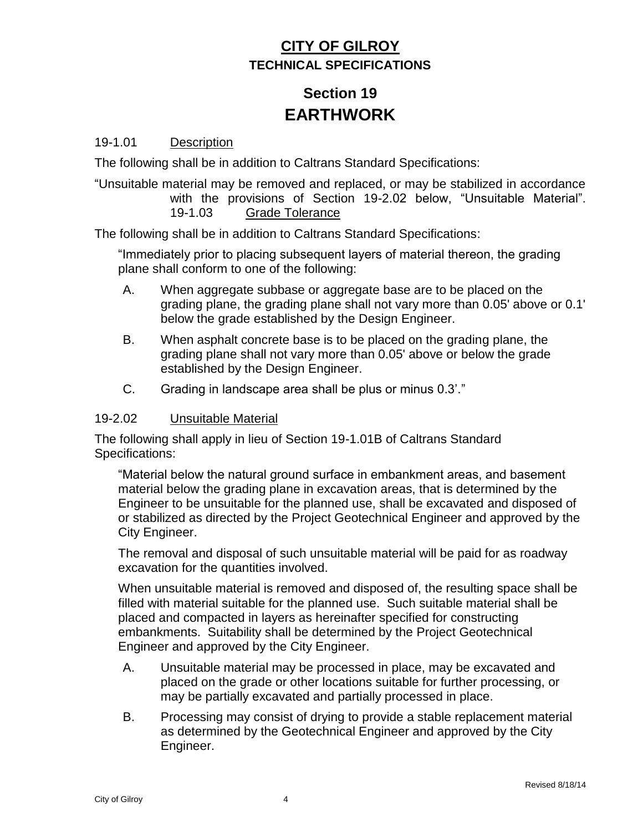# **Section 19 EARTHWORK**

#### 19-1.01 Description

The following shall be in addition to Caltrans Standard Specifications:

"Unsuitable material may be removed and replaced, or may be stabilized in accordance with the provisions of Section 19-2.02 below, "Unsuitable Material". 19-1.03 Grade Tolerance

The following shall be in addition to Caltrans Standard Specifications:

"Immediately prior to placing subsequent layers of material thereon, the grading plane shall conform to one of the following:

- A. When aggregate subbase or aggregate base are to be placed on the grading plane, the grading plane shall not vary more than 0.05' above or 0.1' below the grade established by the Design Engineer.
- B. When asphalt concrete base is to be placed on the grading plane, the grading plane shall not vary more than 0.05' above or below the grade established by the Design Engineer.
- C. Grading in landscape area shall be plus or minus 0.3'."

#### 19-2.02 Unsuitable Material

The following shall apply in lieu of Section 19-1.01B of Caltrans Standard Specifications:

"Material below the natural ground surface in embankment areas, and basement material below the grading plane in excavation areas, that is determined by the Engineer to be unsuitable for the planned use, shall be excavated and disposed of or stabilized as directed by the Project Geotechnical Engineer and approved by the City Engineer.

The removal and disposal of such unsuitable material will be paid for as roadway excavation for the quantities involved.

When unsuitable material is removed and disposed of, the resulting space shall be filled with material suitable for the planned use. Such suitable material shall be placed and compacted in layers as hereinafter specified for constructing embankments. Suitability shall be determined by the Project Geotechnical Engineer and approved by the City Engineer.

- A. Unsuitable material may be processed in place, may be excavated and placed on the grade or other locations suitable for further processing, or may be partially excavated and partially processed in place.
- B. Processing may consist of drying to provide a stable replacement material as determined by the Geotechnical Engineer and approved by the City Engineer.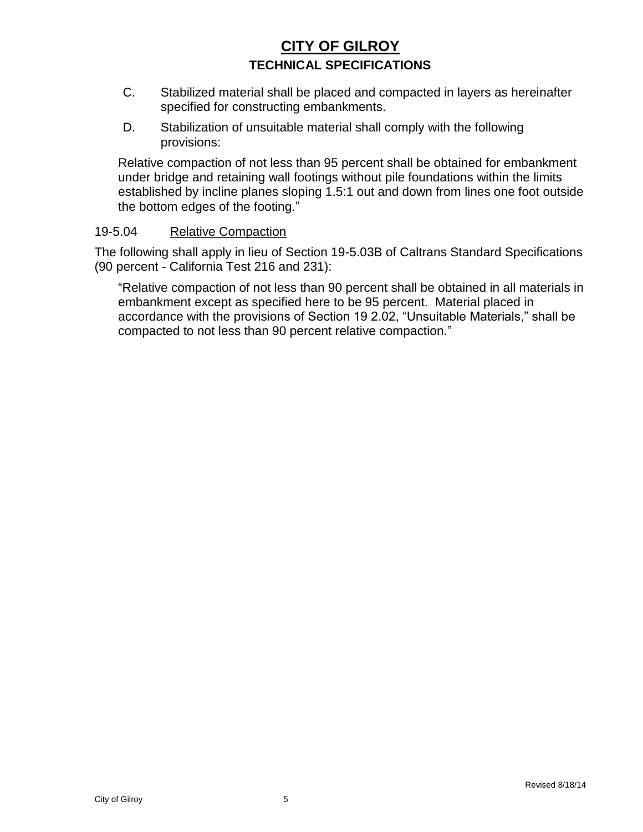- C. Stabilized material shall be placed and compacted in layers as hereinafter specified for constructing embankments.
- D. Stabilization of unsuitable material shall comply with the following provisions:

Relative compaction of not less than 95 percent shall be obtained for embankment under bridge and retaining wall footings without pile foundations within the limits established by incline planes sloping 1.5:1 out and down from lines one foot outside the bottom edges of the footing."

#### 19-5.04 Relative Compaction

The following shall apply in lieu of Section 19-5.03B of Caltrans Standard Specifications (90 percent - California Test 216 and 231):

"Relative compaction of not less than 90 percent shall be obtained in all materials in embankment except as specified here to be 95 percent. Material placed in accordance with the provisions of Section 19 2.02, "Unsuitable Materials," shall be compacted to not less than 90 percent relative compaction."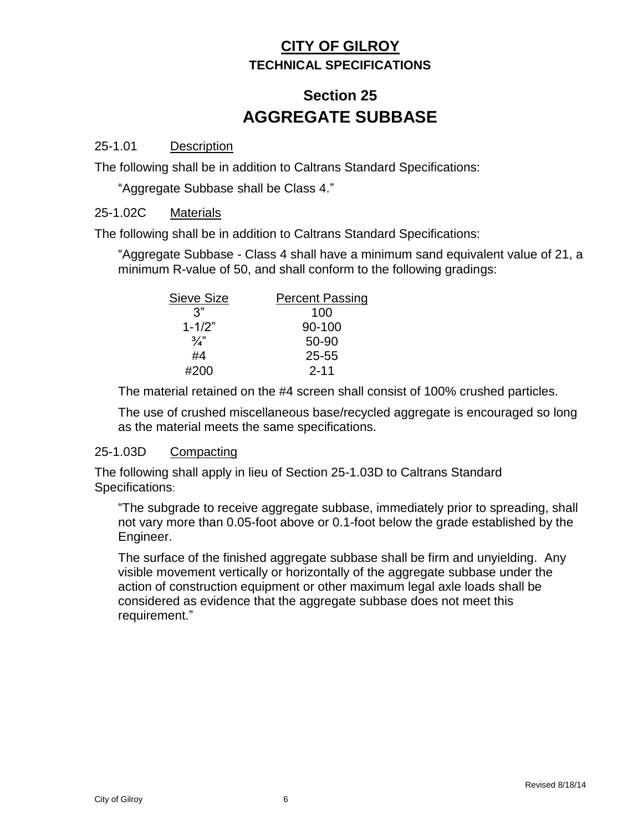# **Section 25 AGGREGATE SUBBASE**

#### 25-1.01 Description

The following shall be in addition to Caltrans Standard Specifications:

"Aggregate Subbase shall be Class 4."

#### 25-1.02C Materials

The following shall be in addition to Caltrans Standard Specifications:

"Aggregate Subbase - Class 4 shall have a minimum sand equivalent value of 21, a minimum R-value of 50, and shall conform to the following gradings:

| <b>Sieve Size</b> | <b>Percent Passing</b> |
|-------------------|------------------------|
| 3"                | 100                    |
| $1 - 1/2"$        | 90-100                 |
| $\frac{3}{4}$     | 50-90                  |
| #4                | 25-55                  |
| #200              | $2 - 11$               |

The material retained on the #4 screen shall consist of 100% crushed particles.

The use of crushed miscellaneous base/recycled aggregate is encouraged so long as the material meets the same specifications.

#### 25-1.03D Compacting

The following shall apply in lieu of Section 25-1.03D to Caltrans Standard Specifications:

"The subgrade to receive aggregate subbase, immediately prior to spreading, shall not vary more than 0.05-foot above or 0.1-foot below the grade established by the Engineer.

The surface of the finished aggregate subbase shall be firm and unyielding. Any visible movement vertically or horizontally of the aggregate subbase under the action of construction equipment or other maximum legal axle loads shall be considered as evidence that the aggregate subbase does not meet this requirement."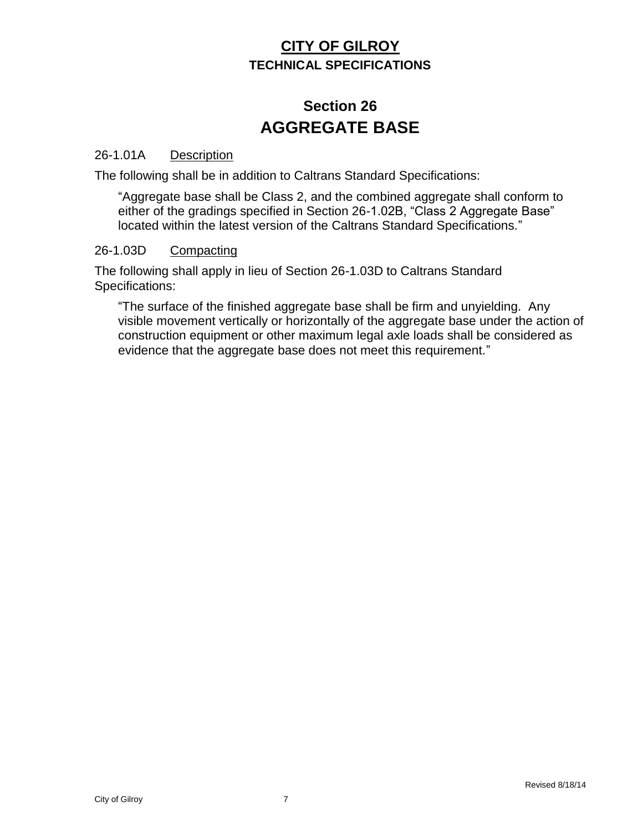# **Section 26 AGGREGATE BASE**

#### 26-1.01A Description

The following shall be in addition to Caltrans Standard Specifications:

"Aggregate base shall be Class 2, and the combined aggregate shall conform to either of the gradings specified in Section 26-1.02B, "Class 2 Aggregate Base" located within the latest version of the Caltrans Standard Specifications."

#### 26-1.03D Compacting

The following shall apply in lieu of Section 26-1.03D to Caltrans Standard Specifications:

"The surface of the finished aggregate base shall be firm and unyielding. Any visible movement vertically or horizontally of the aggregate base under the action of construction equipment or other maximum legal axle loads shall be considered as evidence that the aggregate base does not meet this requirement."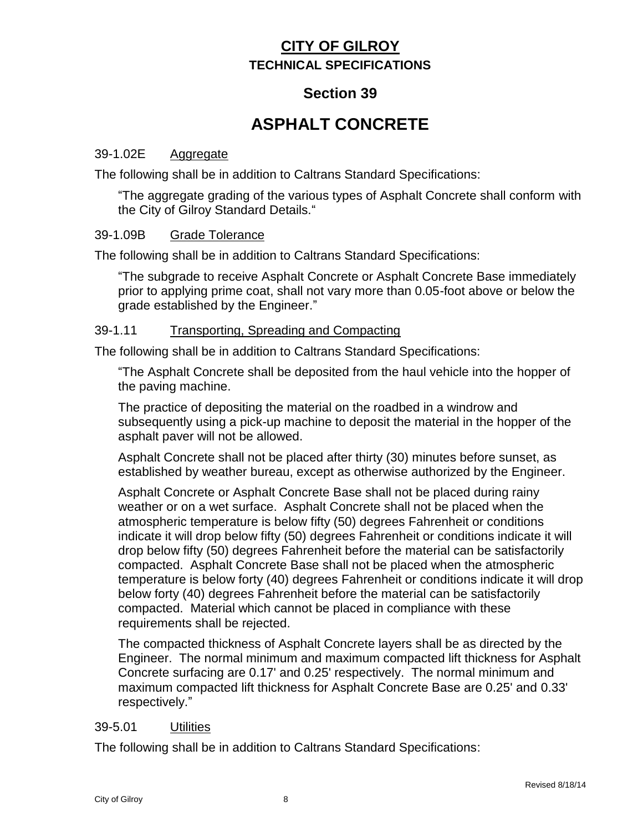## **Section 39**

# **ASPHALT CONCRETE**

#### 39-1.02E Aggregate

The following shall be in addition to Caltrans Standard Specifications:

"The aggregate grading of the various types of Asphalt Concrete shall conform with the City of Gilroy Standard Details."

#### 39-1.09B Grade Tolerance

The following shall be in addition to Caltrans Standard Specifications:

"The subgrade to receive Asphalt Concrete or Asphalt Concrete Base immediately prior to applying prime coat, shall not vary more than 0.05-foot above or below the grade established by the Engineer."

#### 39-1.11 Transporting, Spreading and Compacting

The following shall be in addition to Caltrans Standard Specifications:

"The Asphalt Concrete shall be deposited from the haul vehicle into the hopper of the paving machine.

The practice of depositing the material on the roadbed in a windrow and subsequently using a pick-up machine to deposit the material in the hopper of the asphalt paver will not be allowed.

Asphalt Concrete shall not be placed after thirty (30) minutes before sunset, as established by weather bureau, except as otherwise authorized by the Engineer.

Asphalt Concrete or Asphalt Concrete Base shall not be placed during rainy weather or on a wet surface. Asphalt Concrete shall not be placed when the atmospheric temperature is below fifty (50) degrees Fahrenheit or conditions indicate it will drop below fifty (50) degrees Fahrenheit or conditions indicate it will drop below fifty (50) degrees Fahrenheit before the material can be satisfactorily compacted. Asphalt Concrete Base shall not be placed when the atmospheric temperature is below forty (40) degrees Fahrenheit or conditions indicate it will drop below forty (40) degrees Fahrenheit before the material can be satisfactorily compacted. Material which cannot be placed in compliance with these requirements shall be rejected.

The compacted thickness of Asphalt Concrete layers shall be as directed by the Engineer. The normal minimum and maximum compacted lift thickness for Asphalt Concrete surfacing are 0.17' and 0.25' respectively. The normal minimum and maximum compacted lift thickness for Asphalt Concrete Base are 0.25' and 0.33' respectively."

#### 39-5.01 Utilities

The following shall be in addition to Caltrans Standard Specifications: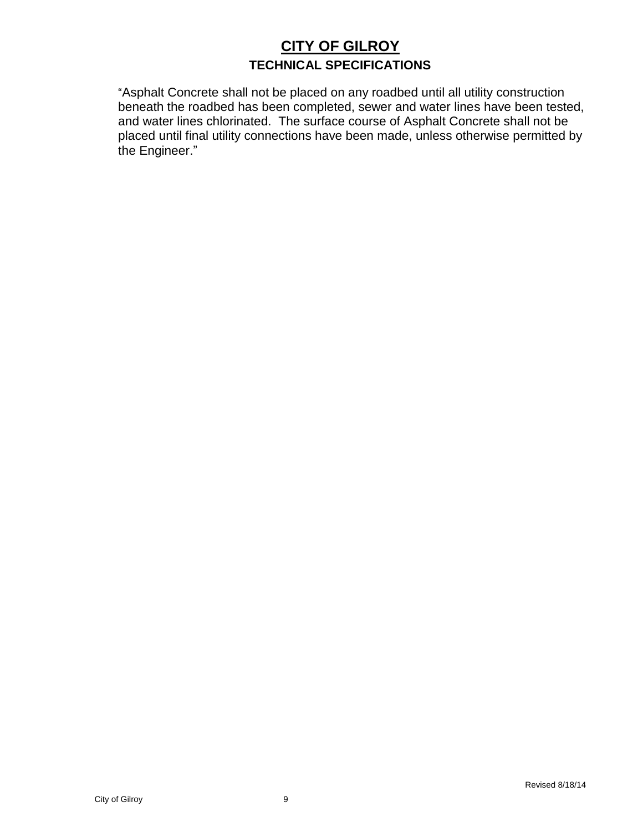"Asphalt Concrete shall not be placed on any roadbed until all utility construction beneath the roadbed has been completed, sewer and water lines have been tested, and water lines chlorinated. The surface course of Asphalt Concrete shall not be placed until final utility connections have been made, unless otherwise permitted by the Engineer."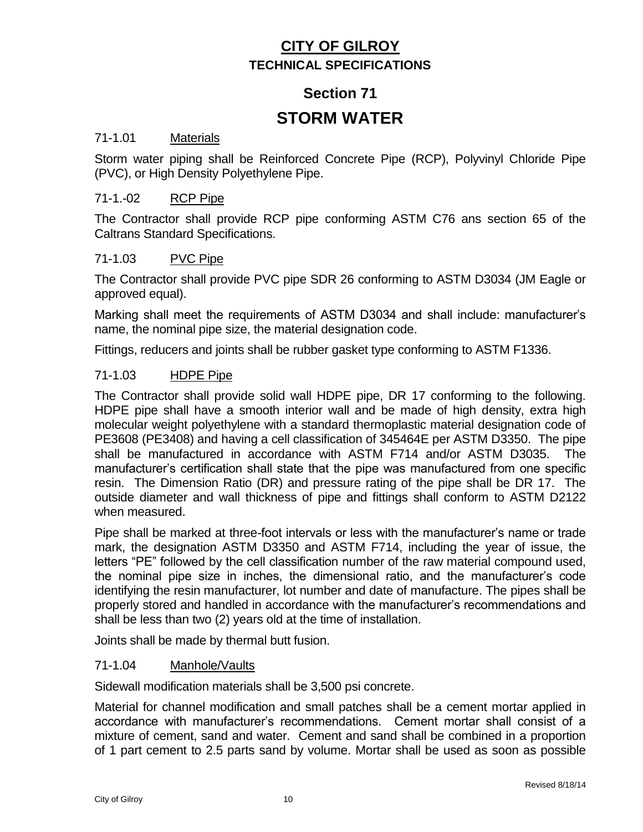## **Section 71**

## **STORM WATER**

#### 71-1.01 Materials

Storm water piping shall be Reinforced Concrete Pipe (RCP), Polyvinyl Chloride Pipe (PVC), or High Density Polyethylene Pipe.

#### 71-1.-02 RCP Pipe

The Contractor shall provide RCP pipe conforming ASTM C76 ans section 65 of the Caltrans Standard Specifications.

#### 71-1.03 PVC Pipe

The Contractor shall provide PVC pipe SDR 26 conforming to ASTM D3034 (JM Eagle or approved equal).

Marking shall meet the requirements of ASTM D3034 and shall include: manufacturer's name, the nominal pipe size, the material designation code.

Fittings, reducers and joints shall be rubber gasket type conforming to ASTM F1336.

#### 71-1.03 HDPE Pipe

The Contractor shall provide solid wall HDPE pipe, DR 17 conforming to the following. HDPE pipe shall have a smooth interior wall and be made of high density, extra high molecular weight polyethylene with a standard thermoplastic material designation code of PE3608 (PE3408) and having a cell classification of 345464E per ASTM D3350. The pipe shall be manufactured in accordance with ASTM F714 and/or ASTM D3035. The manufacturer's certification shall state that the pipe was manufactured from one specific resin. The Dimension Ratio (DR) and pressure rating of the pipe shall be DR 17. The outside diameter and wall thickness of pipe and fittings shall conform to ASTM D2122 when measured.

Pipe shall be marked at three-foot intervals or less with the manufacturer's name or trade mark, the designation ASTM D3350 and ASTM F714, including the year of issue, the letters "PE" followed by the cell classification number of the raw material compound used, the nominal pipe size in inches, the dimensional ratio, and the manufacturer's code identifying the resin manufacturer, lot number and date of manufacture. The pipes shall be properly stored and handled in accordance with the manufacturer's recommendations and shall be less than two (2) years old at the time of installation.

Joints shall be made by thermal butt fusion.

#### 71-1.04 Manhole/Vaults

Sidewall modification materials shall be 3,500 psi concrete.

Material for channel modification and small patches shall be a cement mortar applied in accordance with manufacturer's recommendations. Cement mortar shall consist of a mixture of cement, sand and water. Cement and sand shall be combined in a proportion of 1 part cement to 2.5 parts sand by volume. Mortar shall be used as soon as possible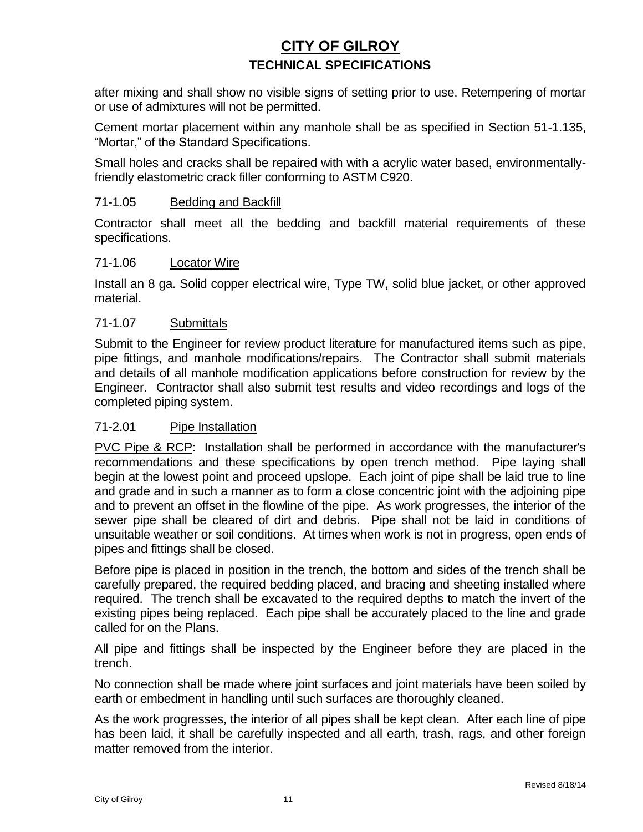after mixing and shall show no visible signs of setting prior to use. Retempering of mortar or use of admixtures will not be permitted.

Cement mortar placement within any manhole shall be as specified in Section 51-1.135, "Mortar," of the Standard Specifications.

Small holes and cracks shall be repaired with with a acrylic water based, environmentallyfriendly elastometric crack filler conforming to ASTM C920.

#### 71-1.05 Bedding and Backfill

Contractor shall meet all the bedding and backfill material requirements of these specifications.

#### 71-1.06 Locator Wire

Install an 8 ga. Solid copper electrical wire, Type TW, solid blue jacket, or other approved material.

#### 71-1.07 Submittals

Submit to the Engineer for review product literature for manufactured items such as pipe, pipe fittings, and manhole modifications/repairs. The Contractor shall submit materials and details of all manhole modification applications before construction for review by the Engineer. Contractor shall also submit test results and video recordings and logs of the completed piping system.

#### 71-2.01 Pipe Installation

PVC Pipe & RCP: Installation shall be performed in accordance with the manufacturer's recommendations and these specifications by open trench method. Pipe laying shall begin at the lowest point and proceed upslope. Each joint of pipe shall be laid true to line and grade and in such a manner as to form a close concentric joint with the adjoining pipe and to prevent an offset in the flowline of the pipe. As work progresses, the interior of the sewer pipe shall be cleared of dirt and debris. Pipe shall not be laid in conditions of unsuitable weather or soil conditions. At times when work is not in progress, open ends of pipes and fittings shall be closed.

Before pipe is placed in position in the trench, the bottom and sides of the trench shall be carefully prepared, the required bedding placed, and bracing and sheeting installed where required. The trench shall be excavated to the required depths to match the invert of the existing pipes being replaced. Each pipe shall be accurately placed to the line and grade called for on the Plans.

All pipe and fittings shall be inspected by the Engineer before they are placed in the trench.

No connection shall be made where joint surfaces and joint materials have been soiled by earth or embedment in handling until such surfaces are thoroughly cleaned.

As the work progresses, the interior of all pipes shall be kept clean. After each line of pipe has been laid, it shall be carefully inspected and all earth, trash, rags, and other foreign matter removed from the interior.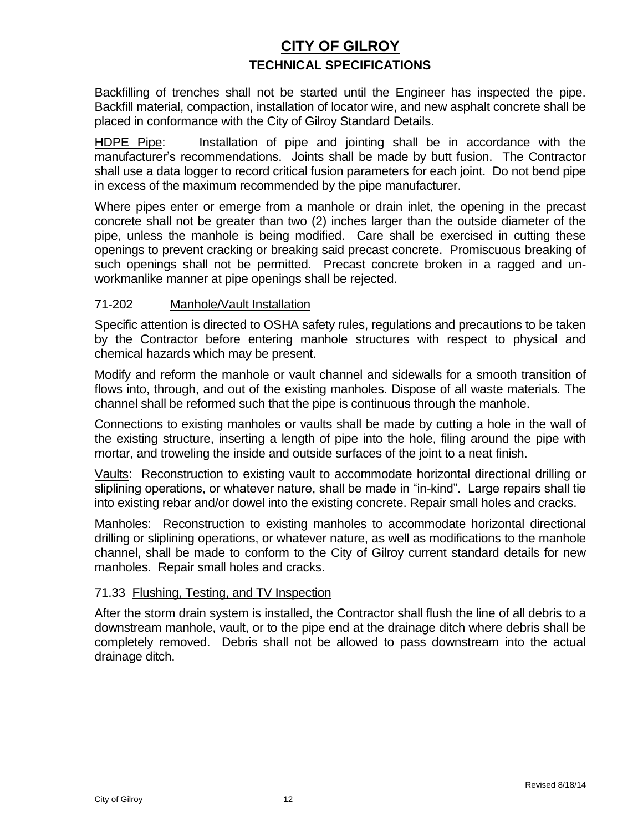Backfilling of trenches shall not be started until the Engineer has inspected the pipe. Backfill material, compaction, installation of locator wire, and new asphalt concrete shall be placed in conformance with the City of Gilroy Standard Details.

HDPE Pipe: Installation of pipe and jointing shall be in accordance with the manufacturer's recommendations. Joints shall be made by butt fusion. The Contractor shall use a data logger to record critical fusion parameters for each joint. Do not bend pipe in excess of the maximum recommended by the pipe manufacturer.

Where pipes enter or emerge from a manhole or drain inlet, the opening in the precast concrete shall not be greater than two (2) inches larger than the outside diameter of the pipe, unless the manhole is being modified. Care shall be exercised in cutting these openings to prevent cracking or breaking said precast concrete. Promiscuous breaking of such openings shall not be permitted. Precast concrete broken in a ragged and unworkmanlike manner at pipe openings shall be rejected.

#### 71-202 Manhole/Vault Installation

Specific attention is directed to OSHA safety rules, regulations and precautions to be taken by the Contractor before entering manhole structures with respect to physical and chemical hazards which may be present.

Modify and reform the manhole or vault channel and sidewalls for a smooth transition of flows into, through, and out of the existing manholes. Dispose of all waste materials. The channel shall be reformed such that the pipe is continuous through the manhole.

Connections to existing manholes or vaults shall be made by cutting a hole in the wall of the existing structure, inserting a length of pipe into the hole, filing around the pipe with mortar, and troweling the inside and outside surfaces of the joint to a neat finish.

Vaults: Reconstruction to existing vault to accommodate horizontal directional drilling or sliplining operations, or whatever nature, shall be made in "in-kind". Large repairs shall tie into existing rebar and/or dowel into the existing concrete. Repair small holes and cracks.

Manholes: Reconstruction to existing manholes to accommodate horizontal directional drilling or sliplining operations, or whatever nature, as well as modifications to the manhole channel, shall be made to conform to the City of Gilroy current standard details for new manholes. Repair small holes and cracks.

#### 71.33 Flushing, Testing, and TV Inspection

After the storm drain system is installed, the Contractor shall flush the line of all debris to a downstream manhole, vault, or to the pipe end at the drainage ditch where debris shall be completely removed. Debris shall not be allowed to pass downstream into the actual drainage ditch.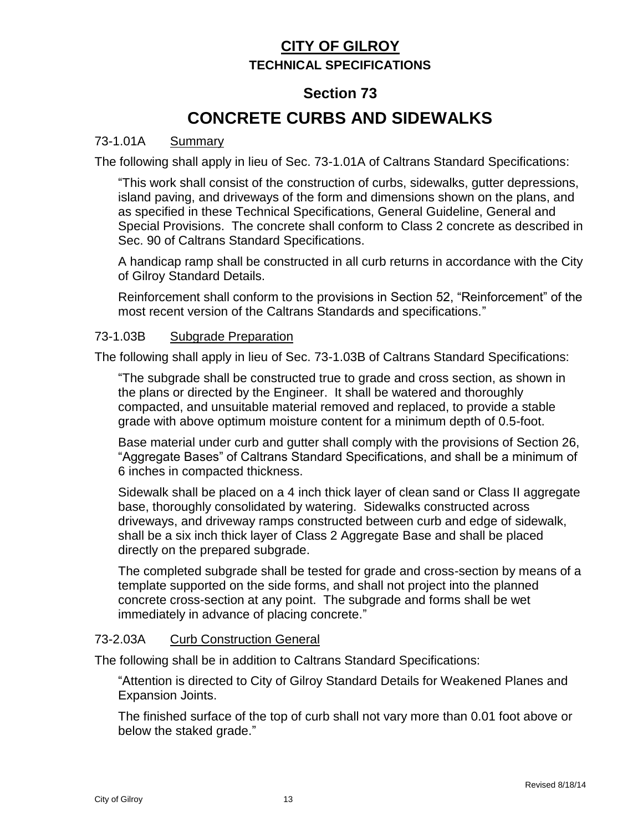#### **Section 73**

# **CONCRETE CURBS AND SIDEWALKS**

#### 73-1.01A Summary

The following shall apply in lieu of Sec. 73-1.01A of Caltrans Standard Specifications:

"This work shall consist of the construction of curbs, sidewalks, gutter depressions, island paving, and driveways of the form and dimensions shown on the plans, and as specified in these Technical Specifications, General Guideline, General and Special Provisions. The concrete shall conform to Class 2 concrete as described in Sec. 90 of Caltrans Standard Specifications.

A handicap ramp shall be constructed in all curb returns in accordance with the City of Gilroy Standard Details.

Reinforcement shall conform to the provisions in Section 52, "Reinforcement" of the most recent version of the Caltrans Standards and specifications."

#### 73-1.03B Subgrade Preparation

The following shall apply in lieu of Sec. 73-1.03B of Caltrans Standard Specifications:

"The subgrade shall be constructed true to grade and cross section, as shown in the plans or directed by the Engineer. It shall be watered and thoroughly compacted, and unsuitable material removed and replaced, to provide a stable grade with above optimum moisture content for a minimum depth of 0.5-foot.

Base material under curb and gutter shall comply with the provisions of Section 26, "Aggregate Bases" of Caltrans Standard Specifications, and shall be a minimum of 6 inches in compacted thickness.

Sidewalk shall be placed on a 4 inch thick layer of clean sand or Class II aggregate base, thoroughly consolidated by watering. Sidewalks constructed across driveways, and driveway ramps constructed between curb and edge of sidewalk, shall be a six inch thick layer of Class 2 Aggregate Base and shall be placed directly on the prepared subgrade.

The completed subgrade shall be tested for grade and cross-section by means of a template supported on the side forms, and shall not project into the planned concrete cross-section at any point. The subgrade and forms shall be wet immediately in advance of placing concrete."

#### 73-2.03A Curb Construction General

The following shall be in addition to Caltrans Standard Specifications:

"Attention is directed to City of Gilroy Standard Details for Weakened Planes and Expansion Joints.

The finished surface of the top of curb shall not vary more than 0.01 foot above or below the staked grade."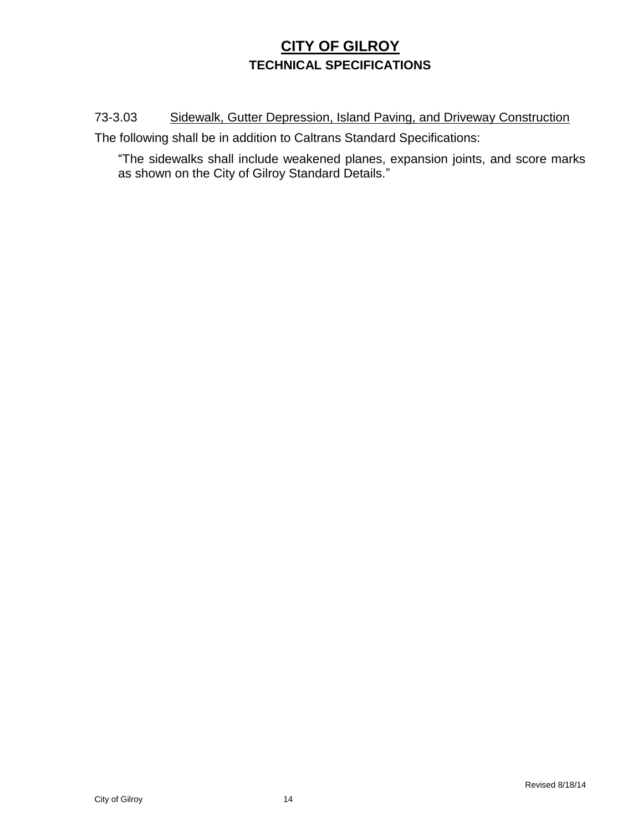73-3.03 Sidewalk, Gutter Depression, Island Paving, and Driveway Construction

The following shall be in addition to Caltrans Standard Specifications:

"The sidewalks shall include weakened planes, expansion joints, and score marks as shown on the City of Gilroy Standard Details."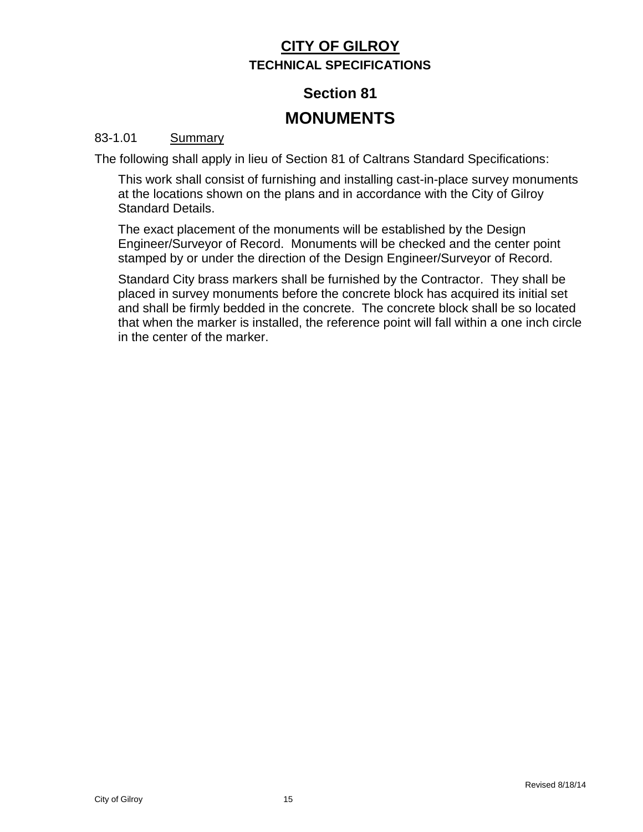# **Section 81 MONUMENTS**

#### 83-1.01 **Summary**

The following shall apply in lieu of Section 81 of Caltrans Standard Specifications:

This work shall consist of furnishing and installing cast-in-place survey monuments at the locations shown on the plans and in accordance with the City of Gilroy Standard Details.

The exact placement of the monuments will be established by the Design Engineer/Surveyor of Record. Monuments will be checked and the center point stamped by or under the direction of the Design Engineer/Surveyor of Record.

Standard City brass markers shall be furnished by the Contractor. They shall be placed in survey monuments before the concrete block has acquired its initial set and shall be firmly bedded in the concrete. The concrete block shall be so located that when the marker is installed, the reference point will fall within a one inch circle in the center of the marker.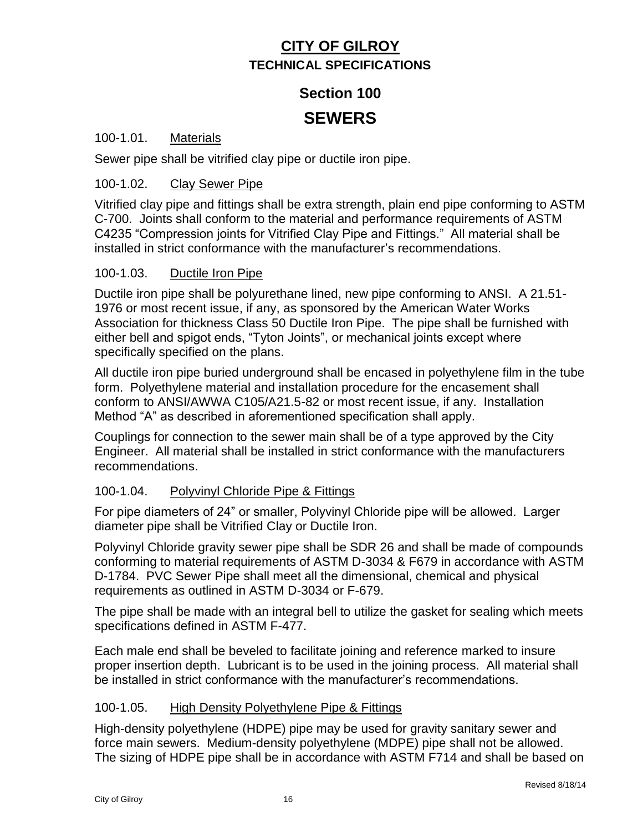# **Section 100**

## **SEWERS**

#### 100-1.01. Materials

Sewer pipe shall be vitrified clay pipe or ductile iron pipe.

#### 100-1.02. Clay Sewer Pipe

Vitrified clay pipe and fittings shall be extra strength, plain end pipe conforming to ASTM C-700. Joints shall conform to the material and performance requirements of ASTM C4235 "Compression joints for Vitrified Clay Pipe and Fittings." All material shall be installed in strict conformance with the manufacturer's recommendations.

#### 100-1.03. Ductile Iron Pipe

Ductile iron pipe shall be polyurethane lined, new pipe conforming to ANSI. A 21.51- 1976 or most recent issue, if any, as sponsored by the American Water Works Association for thickness Class 50 Ductile Iron Pipe. The pipe shall be furnished with either bell and spigot ends, "Tyton Joints", or mechanical joints except where specifically specified on the plans.

All ductile iron pipe buried underground shall be encased in polyethylene film in the tube form. Polyethylene material and installation procedure for the encasement shall conform to ANSI/AWWA C105/A21.5-82 or most recent issue, if any. Installation Method "A" as described in aforementioned specification shall apply.

Couplings for connection to the sewer main shall be of a type approved by the City Engineer. All material shall be installed in strict conformance with the manufacturers recommendations.

#### 100-1.04. Polyvinyl Chloride Pipe & Fittings

For pipe diameters of 24" or smaller, Polyvinyl Chloride pipe will be allowed. Larger diameter pipe shall be Vitrified Clay or Ductile Iron.

Polyvinyl Chloride gravity sewer pipe shall be SDR 26 and shall be made of compounds conforming to material requirements of ASTM D-3034 & F679 in accordance with ASTM D-1784. PVC Sewer Pipe shall meet all the dimensional, chemical and physical requirements as outlined in ASTM D-3034 or F-679.

The pipe shall be made with an integral bell to utilize the gasket for sealing which meets specifications defined in ASTM F-477.

Each male end shall be beveled to facilitate joining and reference marked to insure proper insertion depth. Lubricant is to be used in the joining process. All material shall be installed in strict conformance with the manufacturer's recommendations.

#### 100-1.05. High Density Polyethylene Pipe & Fittings

High-density polyethylene (HDPE) pipe may be used for gravity sanitary sewer and force main sewers. Medium-density polyethylene (MDPE) pipe shall not be allowed. The sizing of HDPE pipe shall be in accordance with ASTM F714 and shall be based on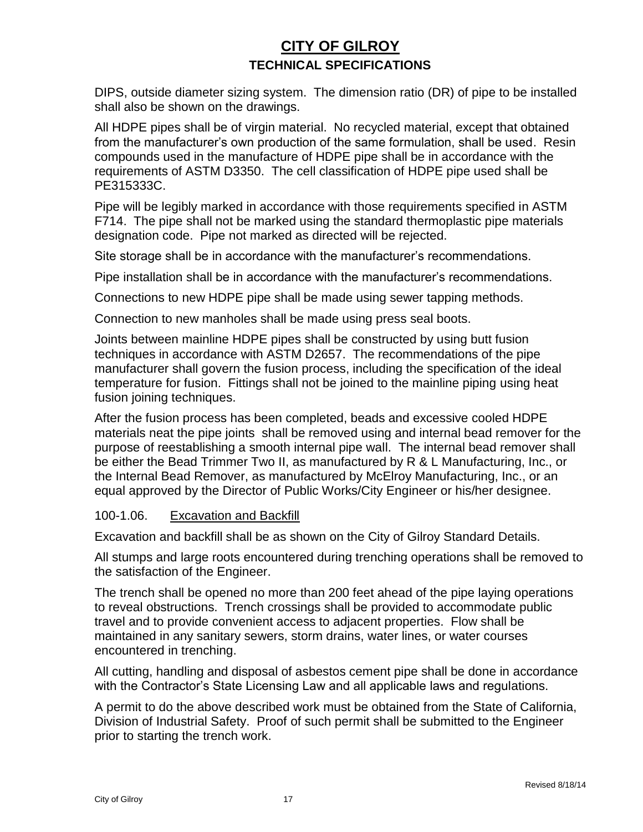DIPS, outside diameter sizing system. The dimension ratio (DR) of pipe to be installed shall also be shown on the drawings.

All HDPE pipes shall be of virgin material. No recycled material, except that obtained from the manufacturer's own production of the same formulation, shall be used. Resin compounds used in the manufacture of HDPE pipe shall be in accordance with the requirements of ASTM D3350. The cell classification of HDPE pipe used shall be PE315333C.

Pipe will be legibly marked in accordance with those requirements specified in ASTM F714. The pipe shall not be marked using the standard thermoplastic pipe materials designation code. Pipe not marked as directed will be rejected.

Site storage shall be in accordance with the manufacturer's recommendations.

Pipe installation shall be in accordance with the manufacturer's recommendations.

Connections to new HDPE pipe shall be made using sewer tapping methods.

Connection to new manholes shall be made using press seal boots.

Joints between mainline HDPE pipes shall be constructed by using butt fusion techniques in accordance with ASTM D2657. The recommendations of the pipe manufacturer shall govern the fusion process, including the specification of the ideal temperature for fusion. Fittings shall not be joined to the mainline piping using heat fusion joining techniques.

After the fusion process has been completed, beads and excessive cooled HDPE materials neat the pipe joints shall be removed using and internal bead remover for the purpose of reestablishing a smooth internal pipe wall. The internal bead remover shall be either the Bead Trimmer Two II, as manufactured by R & L Manufacturing, Inc., or the Internal Bead Remover, as manufactured by McElroy Manufacturing, Inc., or an equal approved by the Director of Public Works/City Engineer or his/her designee.

#### 100-1.06. Excavation and Backfill

Excavation and backfill shall be as shown on the City of Gilroy Standard Details.

All stumps and large roots encountered during trenching operations shall be removed to the satisfaction of the Engineer.

The trench shall be opened no more than 200 feet ahead of the pipe laying operations to reveal obstructions. Trench crossings shall be provided to accommodate public travel and to provide convenient access to adjacent properties. Flow shall be maintained in any sanitary sewers, storm drains, water lines, or water courses encountered in trenching.

All cutting, handling and disposal of asbestos cement pipe shall be done in accordance with the Contractor's State Licensing Law and all applicable laws and regulations.

A permit to do the above described work must be obtained from the State of California, Division of Industrial Safety. Proof of such permit shall be submitted to the Engineer prior to starting the trench work.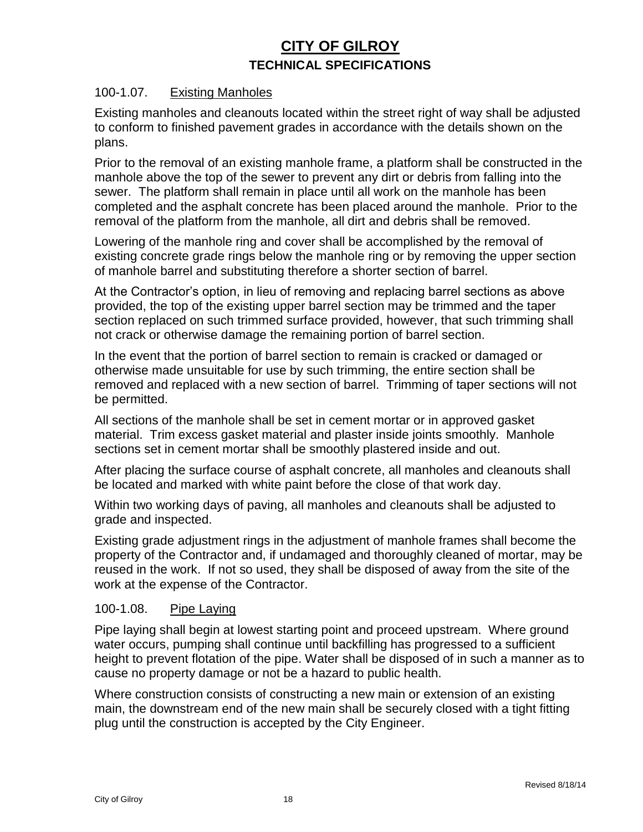#### 100-1.07. Existing Manholes

Existing manholes and cleanouts located within the street right of way shall be adjusted to conform to finished pavement grades in accordance with the details shown on the plans.

Prior to the removal of an existing manhole frame, a platform shall be constructed in the manhole above the top of the sewer to prevent any dirt or debris from falling into the sewer. The platform shall remain in place until all work on the manhole has been completed and the asphalt concrete has been placed around the manhole. Prior to the removal of the platform from the manhole, all dirt and debris shall be removed.

Lowering of the manhole ring and cover shall be accomplished by the removal of existing concrete grade rings below the manhole ring or by removing the upper section of manhole barrel and substituting therefore a shorter section of barrel.

At the Contractor's option, in lieu of removing and replacing barrel sections as above provided, the top of the existing upper barrel section may be trimmed and the taper section replaced on such trimmed surface provided, however, that such trimming shall not crack or otherwise damage the remaining portion of barrel section.

In the event that the portion of barrel section to remain is cracked or damaged or otherwise made unsuitable for use by such trimming, the entire section shall be removed and replaced with a new section of barrel. Trimming of taper sections will not be permitted.

All sections of the manhole shall be set in cement mortar or in approved gasket material. Trim excess gasket material and plaster inside joints smoothly. Manhole sections set in cement mortar shall be smoothly plastered inside and out.

After placing the surface course of asphalt concrete, all manholes and cleanouts shall be located and marked with white paint before the close of that work day.

Within two working days of paving, all manholes and cleanouts shall be adjusted to grade and inspected.

Existing grade adjustment rings in the adjustment of manhole frames shall become the property of the Contractor and, if undamaged and thoroughly cleaned of mortar, may be reused in the work. If not so used, they shall be disposed of away from the site of the work at the expense of the Contractor.

#### 100-1.08. Pipe Laying

Pipe laying shall begin at lowest starting point and proceed upstream. Where ground water occurs, pumping shall continue until backfilling has progressed to a sufficient height to prevent flotation of the pipe. Water shall be disposed of in such a manner as to cause no property damage or not be a hazard to public health.

Where construction consists of constructing a new main or extension of an existing main, the downstream end of the new main shall be securely closed with a tight fitting plug until the construction is accepted by the City Engineer.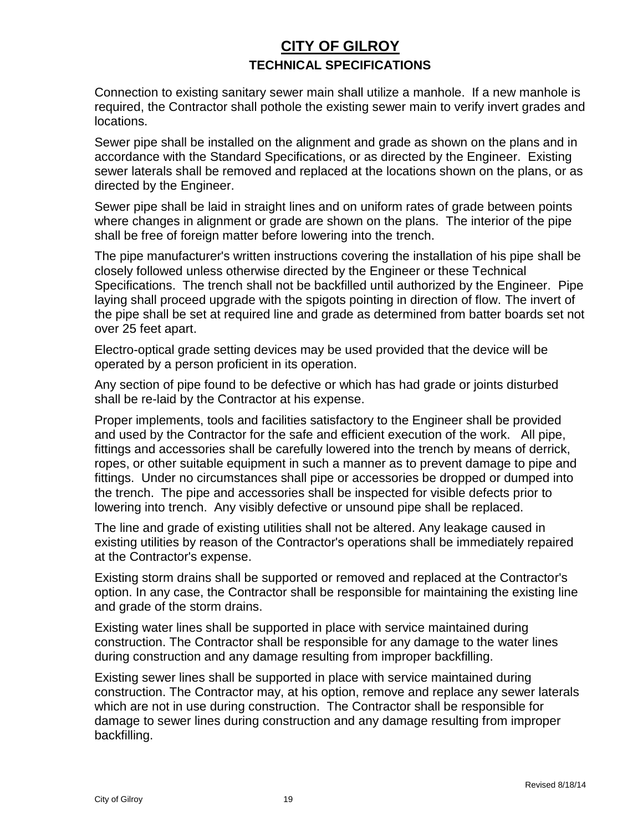Connection to existing sanitary sewer main shall utilize a manhole. If a new manhole is required, the Contractor shall pothole the existing sewer main to verify invert grades and locations.

Sewer pipe shall be installed on the alignment and grade as shown on the plans and in accordance with the Standard Specifications, or as directed by the Engineer. Existing sewer laterals shall be removed and replaced at the locations shown on the plans, or as directed by the Engineer.

Sewer pipe shall be laid in straight lines and on uniform rates of grade between points where changes in alignment or grade are shown on the plans. The interior of the pipe shall be free of foreign matter before lowering into the trench.

The pipe manufacturer's written instructions covering the installation of his pipe shall be closely followed unless otherwise directed by the Engineer or these Technical Specifications. The trench shall not be backfilled until authorized by the Engineer. Pipe laying shall proceed upgrade with the spigots pointing in direction of flow. The invert of the pipe shall be set at required line and grade as determined from batter boards set not over 25 feet apart.

Electro-optical grade setting devices may be used provided that the device will be operated by a person proficient in its operation.

Any section of pipe found to be defective or which has had grade or joints disturbed shall be re-laid by the Contractor at his expense.

Proper implements, tools and facilities satisfactory to the Engineer shall be provided and used by the Contractor for the safe and efficient execution of the work. All pipe, fittings and accessories shall be carefully lowered into the trench by means of derrick, ropes, or other suitable equipment in such a manner as to prevent damage to pipe and fittings. Under no circumstances shall pipe or accessories be dropped or dumped into the trench. The pipe and accessories shall be inspected for visible defects prior to lowering into trench. Any visibly defective or unsound pipe shall be replaced.

The line and grade of existing utilities shall not be altered. Any leakage caused in existing utilities by reason of the Contractor's operations shall be immediately repaired at the Contractor's expense.

Existing storm drains shall be supported or removed and replaced at the Contractor's option. In any case, the Contractor shall be responsible for maintaining the existing line and grade of the storm drains.

Existing water lines shall be supported in place with service maintained during construction. The Contractor shall be responsible for any damage to the water lines during construction and any damage resulting from improper backfilling.

Existing sewer lines shall be supported in place with service maintained during construction. The Contractor may, at his option, remove and replace any sewer laterals which are not in use during construction. The Contractor shall be responsible for damage to sewer lines during construction and any damage resulting from improper backfilling.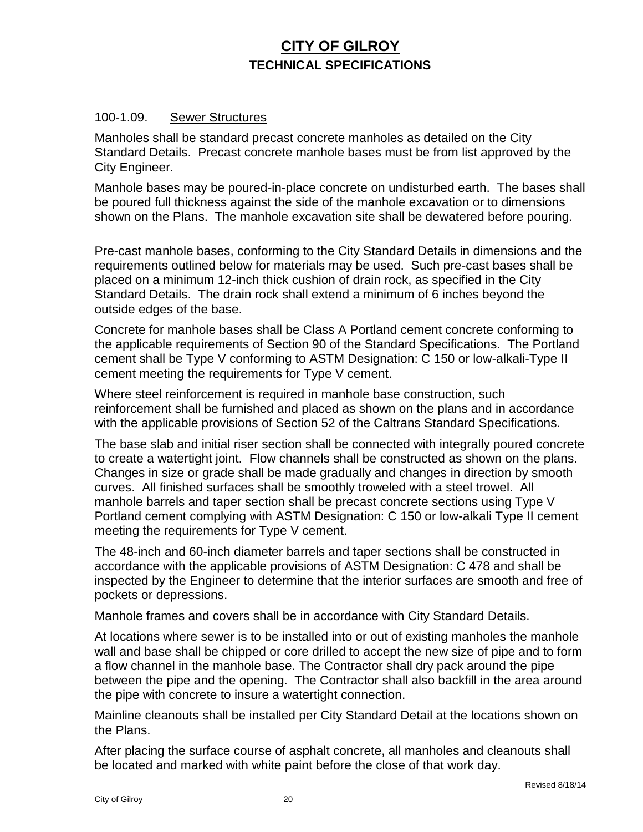#### 100-1.09. Sewer Structures

Manholes shall be standard precast concrete manholes as detailed on the City Standard Details. Precast concrete manhole bases must be from list approved by the City Engineer.

Manhole bases may be poured-in-place concrete on undisturbed earth. The bases shall be poured full thickness against the side of the manhole excavation or to dimensions shown on the Plans. The manhole excavation site shall be dewatered before pouring.

Pre-cast manhole bases, conforming to the City Standard Details in dimensions and the requirements outlined below for materials may be used. Such pre-cast bases shall be placed on a minimum 12-inch thick cushion of drain rock, as specified in the City Standard Details. The drain rock shall extend a minimum of 6 inches beyond the outside edges of the base.

Concrete for manhole bases shall be Class A Portland cement concrete conforming to the applicable requirements of Section 90 of the Standard Specifications. The Portland cement shall be Type V conforming to ASTM Designation: C 150 or low-alkali-Type II cement meeting the requirements for Type V cement.

Where steel reinforcement is required in manhole base construction, such reinforcement shall be furnished and placed as shown on the plans and in accordance with the applicable provisions of Section 52 of the Caltrans Standard Specifications.

The base slab and initial riser section shall be connected with integrally poured concrete to create a watertight joint. Flow channels shall be constructed as shown on the plans. Changes in size or grade shall be made gradually and changes in direction by smooth curves. All finished surfaces shall be smoothly troweled with a steel trowel. All manhole barrels and taper section shall be precast concrete sections using Type V Portland cement complying with ASTM Designation: C 150 or low-alkali Type II cement meeting the requirements for Type V cement.

The 48-inch and 60-inch diameter barrels and taper sections shall be constructed in accordance with the applicable provisions of ASTM Designation: C 478 and shall be inspected by the Engineer to determine that the interior surfaces are smooth and free of pockets or depressions.

Manhole frames and covers shall be in accordance with City Standard Details.

At locations where sewer is to be installed into or out of existing manholes the manhole wall and base shall be chipped or core drilled to accept the new size of pipe and to form a flow channel in the manhole base. The Contractor shall dry pack around the pipe between the pipe and the opening. The Contractor shall also backfill in the area around the pipe with concrete to insure a watertight connection.

Mainline cleanouts shall be installed per City Standard Detail at the locations shown on the Plans.

After placing the surface course of asphalt concrete, all manholes and cleanouts shall be located and marked with white paint before the close of that work day.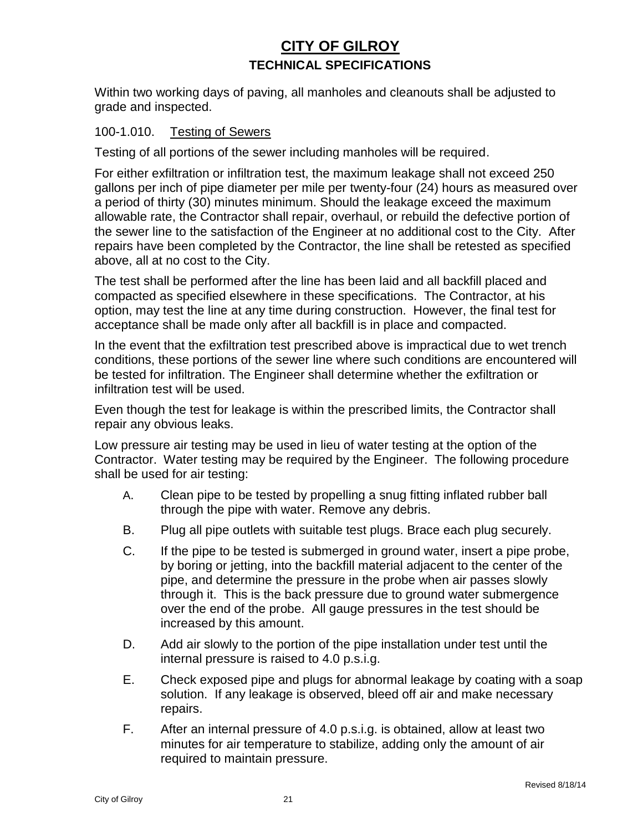Within two working days of paving, all manholes and cleanouts shall be adjusted to grade and inspected.

#### 100-1.010. Testing of Sewers

Testing of all portions of the sewer including manholes will be required.

For either exfiltration or infiltration test, the maximum leakage shall not exceed 250 gallons per inch of pipe diameter per mile per twenty-four (24) hours as measured over a period of thirty (30) minutes minimum. Should the leakage exceed the maximum allowable rate, the Contractor shall repair, overhaul, or rebuild the defective portion of the sewer line to the satisfaction of the Engineer at no additional cost to the City. After repairs have been completed by the Contractor, the line shall be retested as specified above, all at no cost to the City.

The test shall be performed after the line has been laid and all backfill placed and compacted as specified elsewhere in these specifications. The Contractor, at his option, may test the line at any time during construction. However, the final test for acceptance shall be made only after all backfill is in place and compacted.

In the event that the exfiltration test prescribed above is impractical due to wet trench conditions, these portions of the sewer line where such conditions are encountered will be tested for infiltration. The Engineer shall determine whether the exfiltration or infiltration test will be used.

Even though the test for leakage is within the prescribed limits, the Contractor shall repair any obvious leaks.

Low pressure air testing may be used in lieu of water testing at the option of the Contractor. Water testing may be required by the Engineer. The following procedure shall be used for air testing:

- A. Clean pipe to be tested by propelling a snug fitting inflated rubber ball through the pipe with water. Remove any debris.
- B. Plug all pipe outlets with suitable test plugs. Brace each plug securely.
- C. If the pipe to be tested is submerged in ground water, insert a pipe probe, by boring or jetting, into the backfill material adjacent to the center of the pipe, and determine the pressure in the probe when air passes slowly through it. This is the back pressure due to ground water submergence over the end of the probe. All gauge pressures in the test should be increased by this amount.
- D. Add air slowly to the portion of the pipe installation under test until the internal pressure is raised to 4.0 p.s.i.g.
- E. Check exposed pipe and plugs for abnormal leakage by coating with a soap solution. If any leakage is observed, bleed off air and make necessary repairs.
- F. After an internal pressure of 4.0 p.s.i.g. is obtained, allow at least two minutes for air temperature to stabilize, adding only the amount of air required to maintain pressure.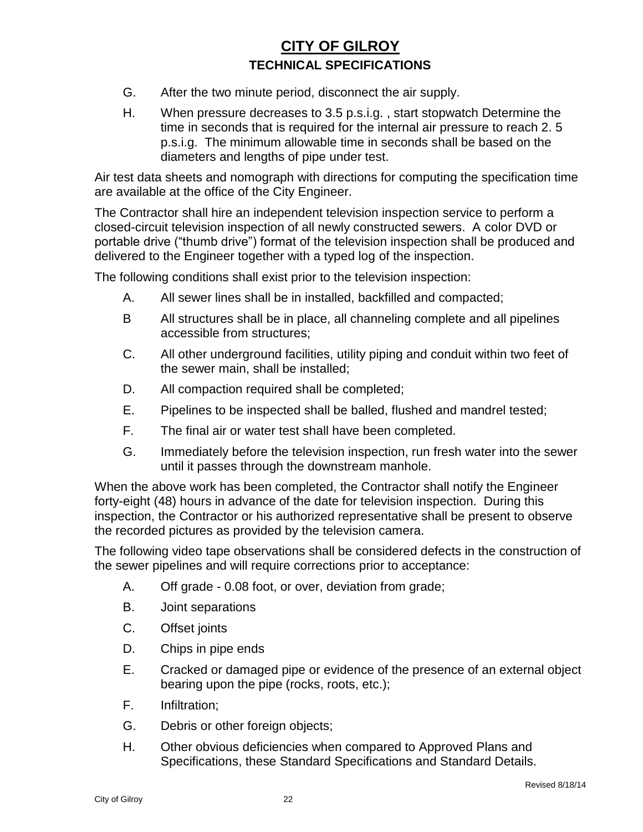- G. After the two minute period, disconnect the air supply.
- H. When pressure decreases to 3.5 p.s.i.g. , start stopwatch Determine the time in seconds that is required for the internal air pressure to reach 2. 5 p.s.i.g. The minimum allowable time in seconds shall be based on the diameters and lengths of pipe under test.

Air test data sheets and nomograph with directions for computing the specification time are available at the office of the City Engineer.

The Contractor shall hire an independent television inspection service to perform a closed-circuit television inspection of all newly constructed sewers. A color DVD or portable drive ("thumb drive") format of the television inspection shall be produced and delivered to the Engineer together with a typed log of the inspection.

The following conditions shall exist prior to the television inspection:

- A. All sewer lines shall be in installed, backfilled and compacted;
- B All structures shall be in place, all channeling complete and all pipelines accessible from structures;
- C. All other underground facilities, utility piping and conduit within two feet of the sewer main, shall be installed;
- D. All compaction required shall be completed;
- E. Pipelines to be inspected shall be balled, flushed and mandrel tested;
- F. The final air or water test shall have been completed.
- G. Immediately before the television inspection, run fresh water into the sewer until it passes through the downstream manhole.

When the above work has been completed, the Contractor shall notify the Engineer forty-eight (48) hours in advance of the date for television inspection. During this inspection, the Contractor or his authorized representative shall be present to observe the recorded pictures as provided by the television camera.

The following video tape observations shall be considered defects in the construction of the sewer pipelines and will require corrections prior to acceptance:

- A. Off grade 0.08 foot, or over, deviation from grade;
- B. Joint separations
- C. Offset joints
- D. Chips in pipe ends
- E. Cracked or damaged pipe or evidence of the presence of an external object bearing upon the pipe (rocks, roots, etc.);
- F. Infiltration;
- G. Debris or other foreign objects;
- H. Other obvious deficiencies when compared to Approved Plans and Specifications, these Standard Specifications and Standard Details.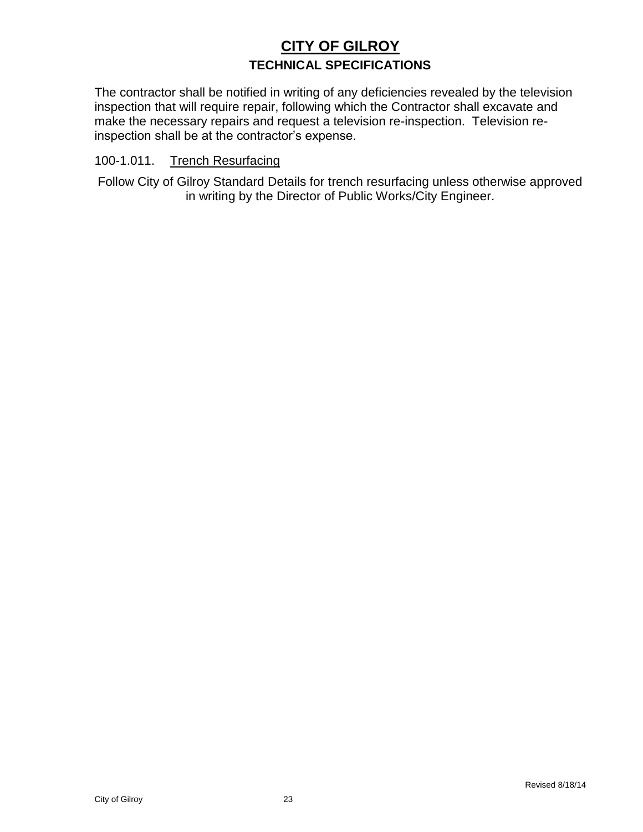The contractor shall be notified in writing of any deficiencies revealed by the television inspection that will require repair, following which the Contractor shall excavate and make the necessary repairs and request a television re-inspection. Television reinspection shall be at the contractor's expense.

#### 100-1.011. Trench Resurfacing

Follow City of Gilroy Standard Details for trench resurfacing unless otherwise approved in writing by the Director of Public Works/City Engineer.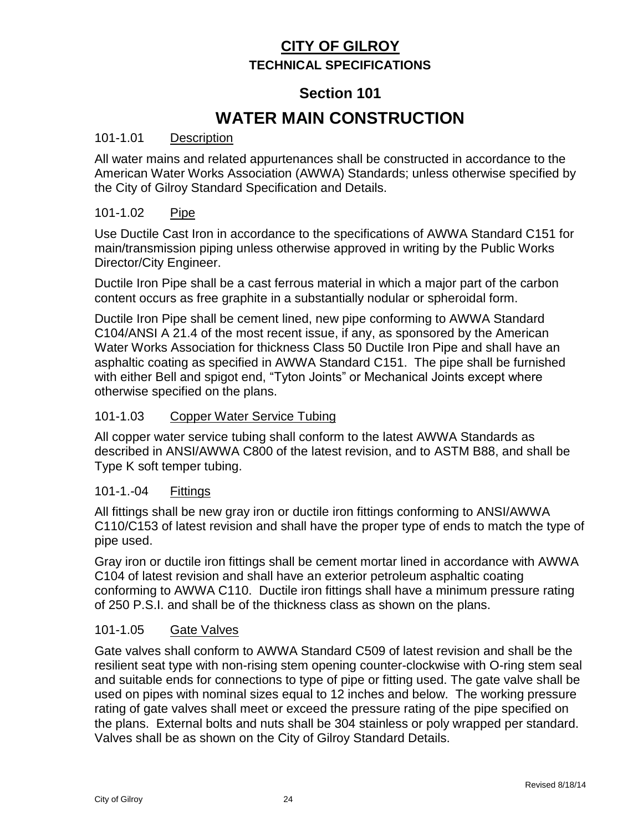## **Section 101**

# **WATER MAIN CONSTRUCTION**

#### 101-1.01 Description

All water mains and related appurtenances shall be constructed in accordance to the American Water Works Association (AWWA) Standards; unless otherwise specified by the City of Gilroy Standard Specification and Details.

#### 101-1.02 Pipe

Use Ductile Cast Iron in accordance to the specifications of AWWA Standard C151 for main/transmission piping unless otherwise approved in writing by the Public Works Director/City Engineer.

Ductile Iron Pipe shall be a cast ferrous material in which a major part of the carbon content occurs as free graphite in a substantially nodular or spheroidal form.

Ductile Iron Pipe shall be cement lined, new pipe conforming to AWWA Standard C104/ANSI A 21.4 of the most recent issue, if any, as sponsored by the American Water Works Association for thickness Class 50 Ductile Iron Pipe and shall have an asphaltic coating as specified in AWWA Standard C151. The pipe shall be furnished with either Bell and spigot end, "Tyton Joints" or Mechanical Joints except where otherwise specified on the plans.

#### 101-1.03 Copper Water Service Tubing

All copper water service tubing shall conform to the latest AWWA Standards as described in ANSI/AWWA C800 of the latest revision, and to ASTM B88, and shall be Type K soft temper tubing.

#### 101-1.-04 Fittings

All fittings shall be new gray iron or ductile iron fittings conforming to ANSI/AWWA C110/C153 of latest revision and shall have the proper type of ends to match the type of pipe used.

Gray iron or ductile iron fittings shall be cement mortar lined in accordance with AWWA C104 of latest revision and shall have an exterior petroleum asphaltic coating conforming to AWWA C110. Ductile iron fittings shall have a minimum pressure rating of 250 P.S.I. and shall be of the thickness class as shown on the plans.

#### 101-1.05 Gate Valves

Gate valves shall conform to AWWA Standard C509 of latest revision and shall be the resilient seat type with non-rising stem opening counter-clockwise with O-ring stem seal and suitable ends for connections to type of pipe or fitting used. The gate valve shall be used on pipes with nominal sizes equal to 12 inches and below. The working pressure rating of gate valves shall meet or exceed the pressure rating of the pipe specified on the plans. External bolts and nuts shall be 304 stainless or poly wrapped per standard. Valves shall be as shown on the City of Gilroy Standard Details.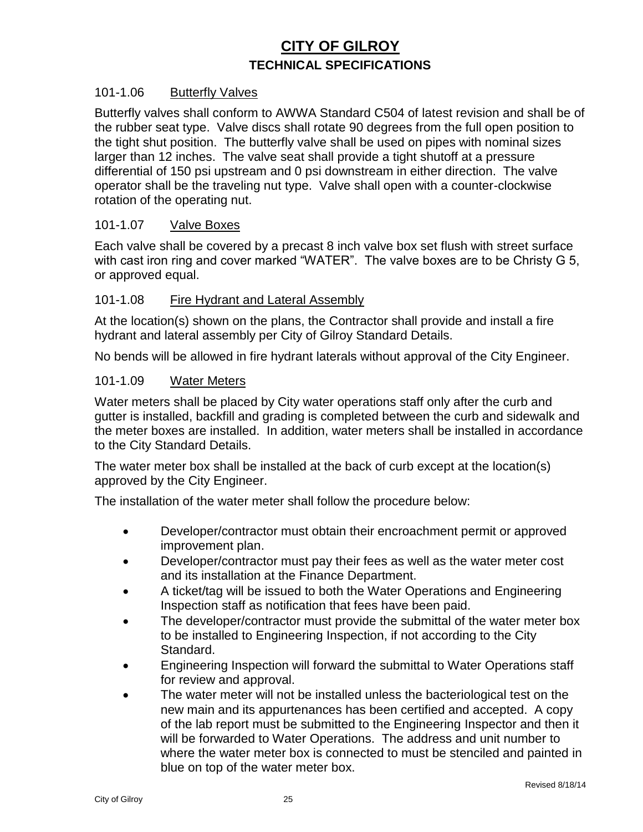#### 101-1.06 Butterfly Valves

Butterfly valves shall conform to AWWA Standard C504 of latest revision and shall be of the rubber seat type. Valve discs shall rotate 90 degrees from the full open position to the tight shut position. The butterfly valve shall be used on pipes with nominal sizes larger than 12 inches. The valve seat shall provide a tight shutoff at a pressure differential of 150 psi upstream and 0 psi downstream in either direction. The valve operator shall be the traveling nut type. Valve shall open with a counter-clockwise rotation of the operating nut.

#### 101-1.07 Valve Boxes

Each valve shall be covered by a precast 8 inch valve box set flush with street surface with cast iron ring and cover marked "WATER". The valve boxes are to be Christy G 5, or approved equal.

#### 101-1.08 Fire Hydrant and Lateral Assembly

At the location(s) shown on the plans, the Contractor shall provide and install a fire hydrant and lateral assembly per City of Gilroy Standard Details.

No bends will be allowed in fire hydrant laterals without approval of the City Engineer.

#### 101-1.09 Water Meters

Water meters shall be placed by City water operations staff only after the curb and gutter is installed, backfill and grading is completed between the curb and sidewalk and the meter boxes are installed. In addition, water meters shall be installed in accordance to the City Standard Details.

The water meter box shall be installed at the back of curb except at the location(s) approved by the City Engineer.

The installation of the water meter shall follow the procedure below:

- Developer/contractor must obtain their encroachment permit or approved improvement plan.
- Developer/contractor must pay their fees as well as the water meter cost and its installation at the Finance Department.
- A ticket/tag will be issued to both the Water Operations and Engineering Inspection staff as notification that fees have been paid.
- The developer/contractor must provide the submittal of the water meter box to be installed to Engineering Inspection, if not according to the City Standard.
- Engineering Inspection will forward the submittal to Water Operations staff for review and approval.
- The water meter will not be installed unless the bacteriological test on the new main and its appurtenances has been certified and accepted. A copy of the lab report must be submitted to the Engineering Inspector and then it will be forwarded to Water Operations. The address and unit number to where the water meter box is connected to must be stenciled and painted in blue on top of the water meter box.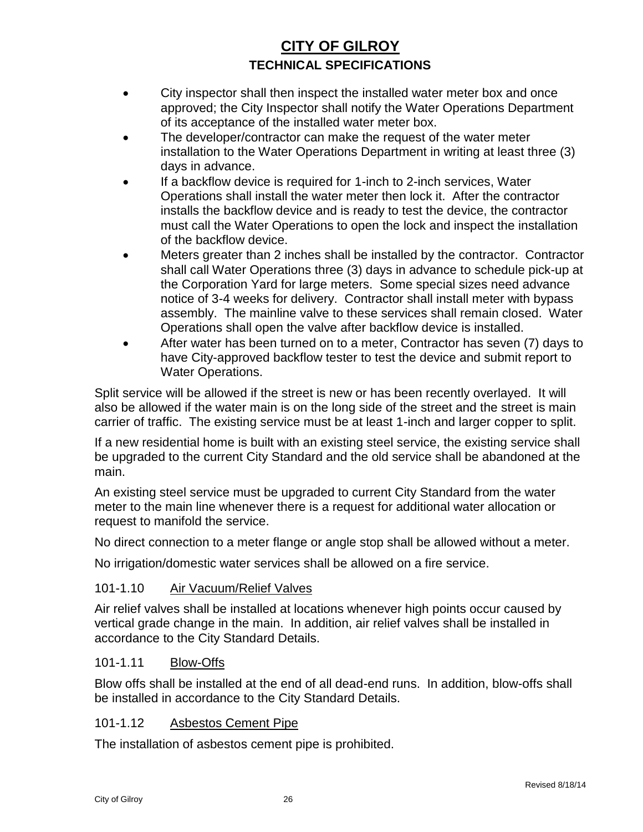- City inspector shall then inspect the installed water meter box and once approved; the City Inspector shall notify the Water Operations Department of its acceptance of the installed water meter box.
- The developer/contractor can make the request of the water meter installation to the Water Operations Department in writing at least three (3) days in advance.
- If a backflow device is required for 1-inch to 2-inch services, Water Operations shall install the water meter then lock it. After the contractor installs the backflow device and is ready to test the device, the contractor must call the Water Operations to open the lock and inspect the installation of the backflow device.
- Meters greater than 2 inches shall be installed by the contractor. Contractor shall call Water Operations three (3) days in advance to schedule pick-up at the Corporation Yard for large meters. Some special sizes need advance notice of 3-4 weeks for delivery. Contractor shall install meter with bypass assembly. The mainline valve to these services shall remain closed. Water Operations shall open the valve after backflow device is installed.
- After water has been turned on to a meter, Contractor has seven (7) days to have City-approved backflow tester to test the device and submit report to Water Operations.

Split service will be allowed if the street is new or has been recently overlayed. It will also be allowed if the water main is on the long side of the street and the street is main carrier of traffic. The existing service must be at least 1-inch and larger copper to split.

If a new residential home is built with an existing steel service, the existing service shall be upgraded to the current City Standard and the old service shall be abandoned at the main.

An existing steel service must be upgraded to current City Standard from the water meter to the main line whenever there is a request for additional water allocation or request to manifold the service.

No direct connection to a meter flange or angle stop shall be allowed without a meter.

No irrigation/domestic water services shall be allowed on a fire service.

#### 101-1.10 Air Vacuum/Relief Valves

Air relief valves shall be installed at locations whenever high points occur caused by vertical grade change in the main. In addition, air relief valves shall be installed in accordance to the City Standard Details.

#### 101-1.11 Blow-Offs

Blow offs shall be installed at the end of all dead-end runs. In addition, blow-offs shall be installed in accordance to the City Standard Details.

#### 101-1.12 Asbestos Cement Pipe

The installation of asbestos cement pipe is prohibited.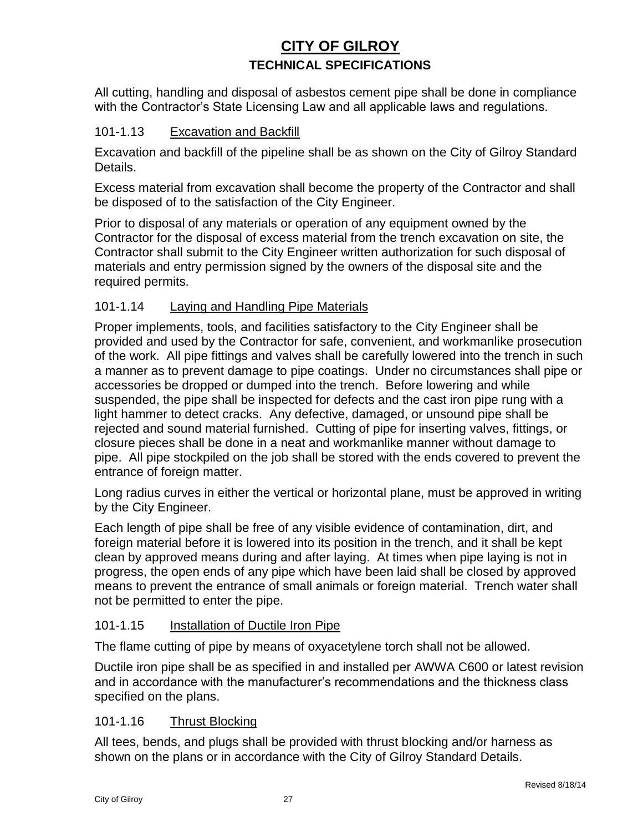All cutting, handling and disposal of asbestos cement pipe shall be done in compliance with the Contractor's State Licensing Law and all applicable laws and regulations.

#### 101-1.13 Excavation and Backfill

Excavation and backfill of the pipeline shall be as shown on the City of Gilroy Standard Details.

Excess material from excavation shall become the property of the Contractor and shall be disposed of to the satisfaction of the City Engineer.

Prior to disposal of any materials or operation of any equipment owned by the Contractor for the disposal of excess material from the trench excavation on site, the Contractor shall submit to the City Engineer written authorization for such disposal of materials and entry permission signed by the owners of the disposal site and the required permits.

#### 101-1.14 Laying and Handling Pipe Materials

Proper implements, tools, and facilities satisfactory to the City Engineer shall be provided and used by the Contractor for safe, convenient, and workmanlike prosecution of the work. All pipe fittings and valves shall be carefully lowered into the trench in such a manner as to prevent damage to pipe coatings. Under no circumstances shall pipe or accessories be dropped or dumped into the trench. Before lowering and while suspended, the pipe shall be inspected for defects and the cast iron pipe rung with a light hammer to detect cracks. Any defective, damaged, or unsound pipe shall be rejected and sound material furnished. Cutting of pipe for inserting valves, fittings, or closure pieces shall be done in a neat and workmanlike manner without damage to pipe. All pipe stockpiled on the job shall be stored with the ends covered to prevent the entrance of foreign matter.

Long radius curves in either the vertical or horizontal plane, must be approved in writing by the City Engineer.

Each length of pipe shall be free of any visible evidence of contamination, dirt, and foreign material before it is lowered into its position in the trench, and it shall be kept clean by approved means during and after laying. At times when pipe laying is not in progress, the open ends of any pipe which have been laid shall be closed by approved means to prevent the entrance of small animals or foreign material. Trench water shall not be permitted to enter the pipe.

#### 101-1.15 Installation of Ductile Iron Pipe

The flame cutting of pipe by means of oxyacetylene torch shall not be allowed.

Ductile iron pipe shall be as specified in and installed per AWWA C600 or latest revision and in accordance with the manufacturer's recommendations and the thickness class specified on the plans.

#### 101-1.16 Thrust Blocking

All tees, bends, and plugs shall be provided with thrust blocking and/or harness as shown on the plans or in accordance with the City of Gilroy Standard Details.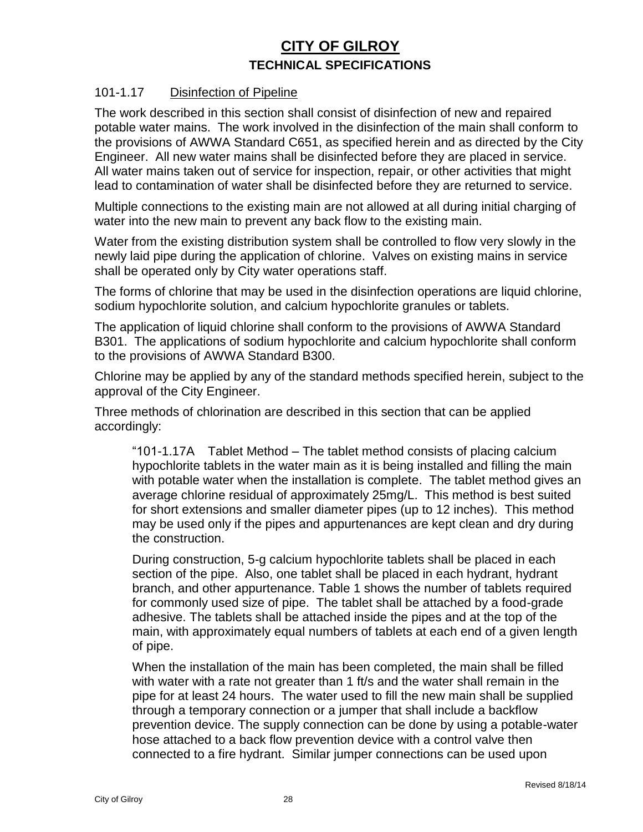#### 101-1.17 Disinfection of Pipeline

The work described in this section shall consist of disinfection of new and repaired potable water mains. The work involved in the disinfection of the main shall conform to the provisions of AWWA Standard C651, as specified herein and as directed by the City Engineer. All new water mains shall be disinfected before they are placed in service. All water mains taken out of service for inspection, repair, or other activities that might lead to contamination of water shall be disinfected before they are returned to service.

Multiple connections to the existing main are not allowed at all during initial charging of water into the new main to prevent any back flow to the existing main.

Water from the existing distribution system shall be controlled to flow very slowly in the newly laid pipe during the application of chlorine. Valves on existing mains in service shall be operated only by City water operations staff.

The forms of chlorine that may be used in the disinfection operations are liquid chlorine, sodium hypochlorite solution, and calcium hypochlorite granules or tablets.

The application of liquid chlorine shall conform to the provisions of AWWA Standard B301. The applications of sodium hypochlorite and calcium hypochlorite shall conform to the provisions of AWWA Standard B300.

Chlorine may be applied by any of the standard methods specified herein, subject to the approval of the City Engineer.

Three methods of chlorination are described in this section that can be applied accordingly:

"101-1.17A Tablet Method – The tablet method consists of placing calcium hypochlorite tablets in the water main as it is being installed and filling the main with potable water when the installation is complete. The tablet method gives an average chlorine residual of approximately 25mg/L. This method is best suited for short extensions and smaller diameter pipes (up to 12 inches). This method may be used only if the pipes and appurtenances are kept clean and dry during the construction.

During construction, 5-g calcium hypochlorite tablets shall be placed in each section of the pipe. Also, one tablet shall be placed in each hydrant, hydrant branch, and other appurtenance. Table 1 shows the number of tablets required for commonly used size of pipe. The tablet shall be attached by a food-grade adhesive. The tablets shall be attached inside the pipes and at the top of the main, with approximately equal numbers of tablets at each end of a given length of pipe.

When the installation of the main has been completed, the main shall be filled with water with a rate not greater than 1 ft/s and the water shall remain in the pipe for at least 24 hours. The water used to fill the new main shall be supplied through a temporary connection or a jumper that shall include a backflow prevention device. The supply connection can be done by using a potable-water hose attached to a back flow prevention device with a control valve then connected to a fire hydrant. Similar jumper connections can be used upon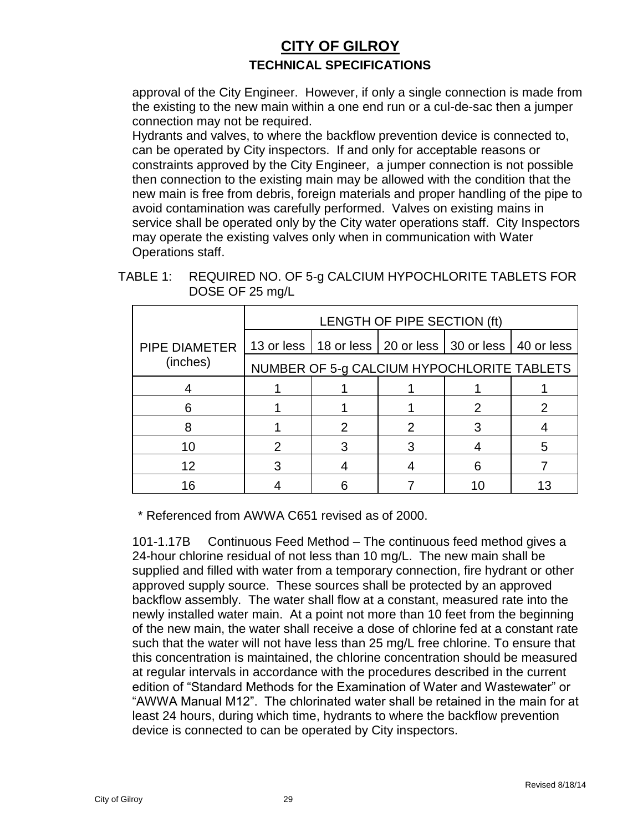approval of the City Engineer. However, if only a single connection is made from the existing to the new main within a one end run or a cul-de-sac then a jumper connection may not be required.

Hydrants and valves, to where the backflow prevention device is connected to, can be operated by City inspectors. If and only for acceptable reasons or constraints approved by the City Engineer, a jumper connection is not possible then connection to the existing main may be allowed with the condition that the new main is free from debris, foreign materials and proper handling of the pipe to avoid contamination was carefully performed. Valves on existing mains in service shall be operated only by the City water operations staff. City Inspectors may operate the existing valves only when in communication with Water Operations staff.

TABLE 1: REQUIRED NO. OF 5-g CALCIUM HYPOCHLORITE TABLETS FOR DOSE OF 25 mg/L

|                      | LENGTH OF PIPE SECTION (ft) |  |                                                                |   |  |
|----------------------|-----------------------------|--|----------------------------------------------------------------|---|--|
| <b>PIPE DIAMETER</b> |                             |  | 13 or less   18 or less   20 or less   30 or less   40 or less |   |  |
| (inches)             |                             |  | NUMBER OF 5-g CALCIUM HYPOCHLORITE TABLETS                     |   |  |
|                      |                             |  |                                                                |   |  |
|                      |                             |  |                                                                | 2 |  |
|                      |                             |  |                                                                |   |  |
| 10                   | 2                           |  |                                                                |   |  |
| 12                   |                             |  |                                                                | 6 |  |
| 16                   |                             |  |                                                                |   |  |

\* Referenced from AWWA C651 revised as of 2000.

101-1.17B Continuous Feed Method – The continuous feed method gives a 24-hour chlorine residual of not less than 10 mg/L. The new main shall be supplied and filled with water from a temporary connection, fire hydrant or other approved supply source. These sources shall be protected by an approved backflow assembly. The water shall flow at a constant, measured rate into the newly installed water main. At a point not more than 10 feet from the beginning of the new main, the water shall receive a dose of chlorine fed at a constant rate such that the water will not have less than 25 mg/L free chlorine. To ensure that this concentration is maintained, the chlorine concentration should be measured at regular intervals in accordance with the procedures described in the current edition of "Standard Methods for the Examination of Water and Wastewater" or "AWWA Manual M12". The chlorinated water shall be retained in the main for at least 24 hours, during which time, hydrants to where the backflow prevention device is connected to can be operated by City inspectors.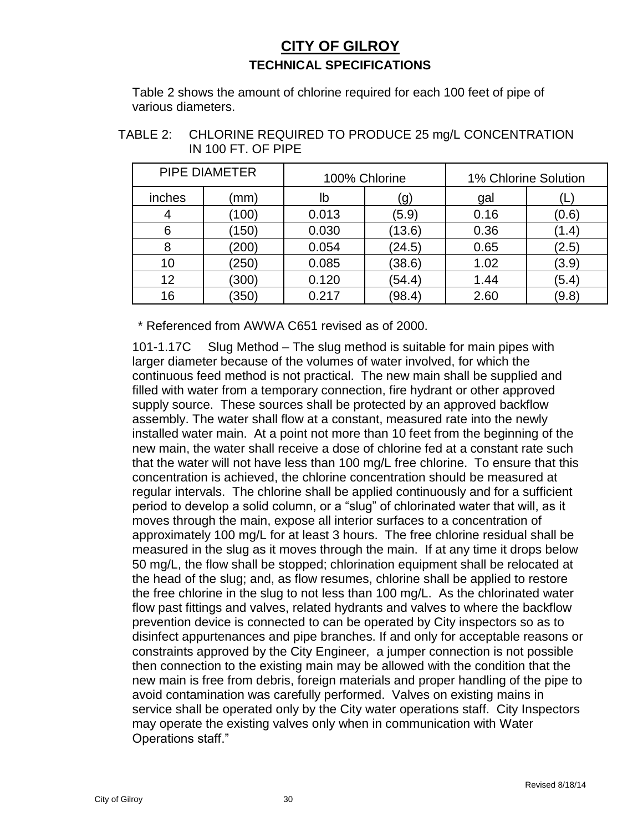Table 2 shows the amount of chlorine required for each 100 feet of pipe of various diameters.

| TABLE 2: CHLORINE REQUIRED TO PRODUCE 25 mg/L CONCENTRATION |
|-------------------------------------------------------------|
| IN 100 FT. OF PIPE                                          |

|        | <b>PIPE DIAMETER</b> |       | 100% Chlorine |      | 1% Chlorine Solution |
|--------|----------------------|-------|---------------|------|----------------------|
| inches | (mm)                 | lb    | (g)           | gal  |                      |
| 4      | (100)                | 0.013 | (5.9)         | 0.16 | (0.6)                |
| 6      | (150)                | 0.030 | (13.6)        | 0.36 | (1.4)                |
| 8      | (200)                | 0.054 | (24.5)        | 0.65 | (2.5)                |
| 10     | (250)                | 0.085 | (38.6)        | 1.02 | (3.9)                |
| 12     | (300)                | 0.120 | (54.4)        | 1.44 | (5.4)                |
| 16     | (350)                | 0.217 | (98.4)        | 2.60 | (9.8)                |

\* Referenced from AWWA C651 revised as of 2000.

101-1.17C Slug Method – The slug method is suitable for main pipes with larger diameter because of the volumes of water involved, for which the continuous feed method is not practical. The new main shall be supplied and filled with water from a temporary connection, fire hydrant or other approved supply source. These sources shall be protected by an approved backflow assembly. The water shall flow at a constant, measured rate into the newly installed water main. At a point not more than 10 feet from the beginning of the new main, the water shall receive a dose of chlorine fed at a constant rate such that the water will not have less than 100 mg/L free chlorine. To ensure that this concentration is achieved, the chlorine concentration should be measured at regular intervals. The chlorine shall be applied continuously and for a sufficient period to develop a solid column, or a "slug" of chlorinated water that will, as it moves through the main, expose all interior surfaces to a concentration of approximately 100 mg/L for at least 3 hours. The free chlorine residual shall be measured in the slug as it moves through the main. If at any time it drops below 50 mg/L, the flow shall be stopped; chlorination equipment shall be relocated at the head of the slug; and, as flow resumes, chlorine shall be applied to restore the free chlorine in the slug to not less than 100 mg/L. As the chlorinated water flow past fittings and valves, related hydrants and valves to where the backflow prevention device is connected to can be operated by City inspectors so as to disinfect appurtenances and pipe branches. If and only for acceptable reasons or constraints approved by the City Engineer, a jumper connection is not possible then connection to the existing main may be allowed with the condition that the new main is free from debris, foreign materials and proper handling of the pipe to avoid contamination was carefully performed. Valves on existing mains in service shall be operated only by the City water operations staff. City Inspectors may operate the existing valves only when in communication with Water Operations staff."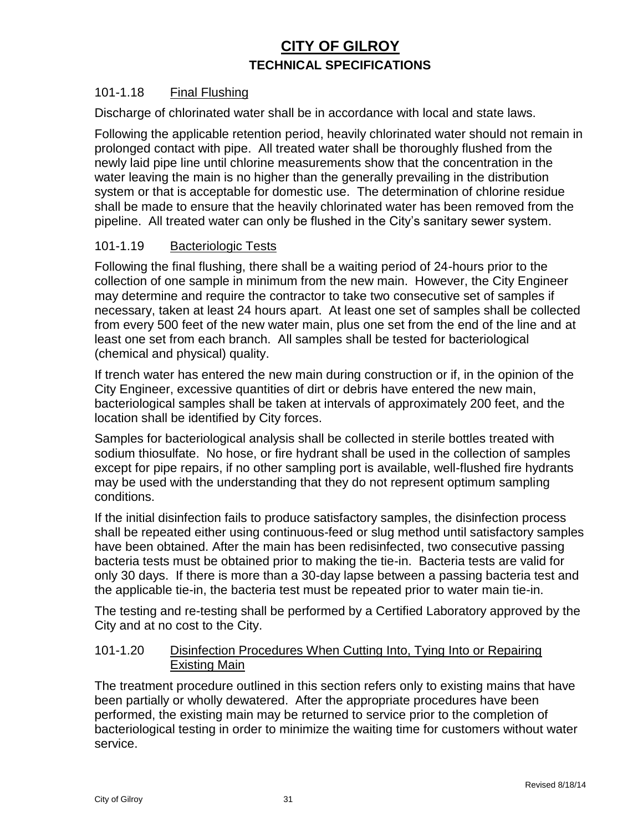#### 101-1.18 Final Flushing

Discharge of chlorinated water shall be in accordance with local and state laws.

Following the applicable retention period, heavily chlorinated water should not remain in prolonged contact with pipe. All treated water shall be thoroughly flushed from the newly laid pipe line until chlorine measurements show that the concentration in the water leaving the main is no higher than the generally prevailing in the distribution system or that is acceptable for domestic use. The determination of chlorine residue shall be made to ensure that the heavily chlorinated water has been removed from the pipeline. All treated water can only be flushed in the City's sanitary sewer system.

#### 101-1.19 Bacteriologic Tests

Following the final flushing, there shall be a waiting period of 24-hours prior to the collection of one sample in minimum from the new main. However, the City Engineer may determine and require the contractor to take two consecutive set of samples if necessary, taken at least 24 hours apart. At least one set of samples shall be collected from every 500 feet of the new water main, plus one set from the end of the line and at least one set from each branch. All samples shall be tested for bacteriological (chemical and physical) quality.

If trench water has entered the new main during construction or if, in the opinion of the City Engineer, excessive quantities of dirt or debris have entered the new main, bacteriological samples shall be taken at intervals of approximately 200 feet, and the location shall be identified by City forces.

Samples for bacteriological analysis shall be collected in sterile bottles treated with sodium thiosulfate. No hose, or fire hydrant shall be used in the collection of samples except for pipe repairs, if no other sampling port is available, well-flushed fire hydrants may be used with the understanding that they do not represent optimum sampling conditions.

If the initial disinfection fails to produce satisfactory samples, the disinfection process shall be repeated either using continuous-feed or slug method until satisfactory samples have been obtained. After the main has been redisinfected, two consecutive passing bacteria tests must be obtained prior to making the tie-in. Bacteria tests are valid for only 30 days. If there is more than a 30-day lapse between a passing bacteria test and the applicable tie-in, the bacteria test must be repeated prior to water main tie-in.

The testing and re-testing shall be performed by a Certified Laboratory approved by the City and at no cost to the City.

#### 101-1.20 Disinfection Procedures When Cutting Into, Tying Into or Repairing Existing Main

The treatment procedure outlined in this section refers only to existing mains that have been partially or wholly dewatered. After the appropriate procedures have been performed, the existing main may be returned to service prior to the completion of bacteriological testing in order to minimize the waiting time for customers without water service.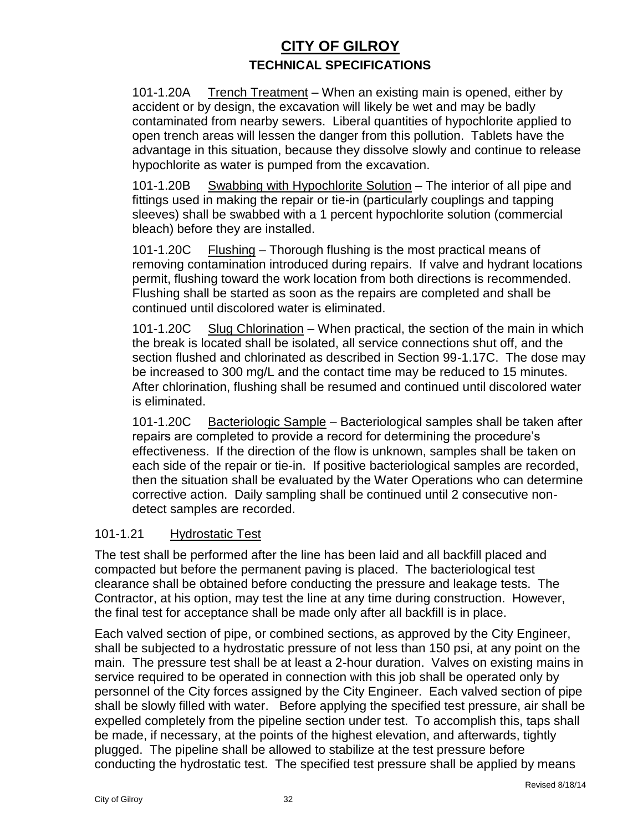101-1.20A Trench Treatment – When an existing main is opened, either by accident or by design, the excavation will likely be wet and may be badly contaminated from nearby sewers. Liberal quantities of hypochlorite applied to open trench areas will lessen the danger from this pollution. Tablets have the advantage in this situation, because they dissolve slowly and continue to release hypochlorite as water is pumped from the excavation.

101-1.20B Swabbing with Hypochlorite Solution – The interior of all pipe and fittings used in making the repair or tie-in (particularly couplings and tapping sleeves) shall be swabbed with a 1 percent hypochlorite solution (commercial bleach) before they are installed.

101-1.20C Flushing – Thorough flushing is the most practical means of removing contamination introduced during repairs. If valve and hydrant locations permit, flushing toward the work location from both directions is recommended. Flushing shall be started as soon as the repairs are completed and shall be continued until discolored water is eliminated.

101-1.20C Slug Chlorination – When practical, the section of the main in which the break is located shall be isolated, all service connections shut off, and the section flushed and chlorinated as described in Section 99-1.17C. The dose may be increased to 300 mg/L and the contact time may be reduced to 15 minutes. After chlorination, flushing shall be resumed and continued until discolored water is eliminated.

101-1.20C Bacteriologic Sample – Bacteriological samples shall be taken after repairs are completed to provide a record for determining the procedure's effectiveness. If the direction of the flow is unknown, samples shall be taken on each side of the repair or tie-in. If positive bacteriological samples are recorded, then the situation shall be evaluated by the Water Operations who can determine corrective action. Daily sampling shall be continued until 2 consecutive nondetect samples are recorded.

#### 101-1.21 Hydrostatic Test

The test shall be performed after the line has been laid and all backfill placed and compacted but before the permanent paving is placed. The bacteriological test clearance shall be obtained before conducting the pressure and leakage tests. The Contractor, at his option, may test the line at any time during construction. However, the final test for acceptance shall be made only after all backfill is in place.

Each valved section of pipe, or combined sections, as approved by the City Engineer, shall be subjected to a hydrostatic pressure of not less than 150 psi, at any point on the main. The pressure test shall be at least a 2-hour duration. Valves on existing mains in service required to be operated in connection with this job shall be operated only by personnel of the City forces assigned by the City Engineer. Each valved section of pipe shall be slowly filled with water. Before applying the specified test pressure, air shall be expelled completely from the pipeline section under test. To accomplish this, taps shall be made, if necessary, at the points of the highest elevation, and afterwards, tightly plugged. The pipeline shall be allowed to stabilize at the test pressure before conducting the hydrostatic test. The specified test pressure shall be applied by means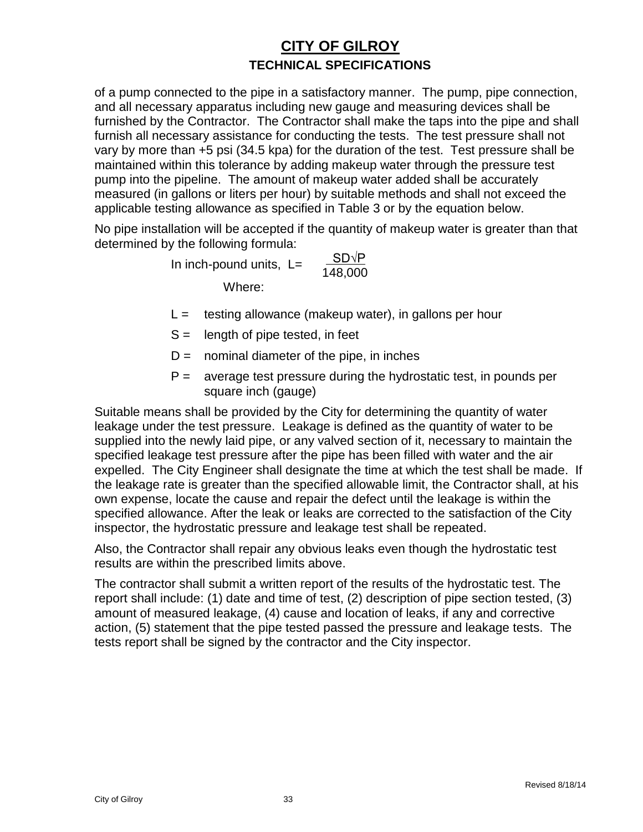of a pump connected to the pipe in a satisfactory manner. The pump, pipe connection, and all necessary apparatus including new gauge and measuring devices shall be furnished by the Contractor. The Contractor shall make the taps into the pipe and shall furnish all necessary assistance for conducting the tests. The test pressure shall not vary by more than +5 psi (34.5 kpa) for the duration of the test. Test pressure shall be maintained within this tolerance by adding makeup water through the pressure test pump into the pipeline. The amount of makeup water added shall be accurately measured (in gallons or liters per hour) by suitable methods and shall not exceed the applicable testing allowance as specified in Table 3 or by the equation below.

No pipe installation will be accepted if the quantity of makeup water is greater than that determined by the following formula:

> In inch-pound units,  $L=$  $\frac{\text{SD}\sqrt{\text{P}}}{148,000}$ Where:

- $L =$  testing allowance (makeup water), in gallons per hour
- $S =$  length of pipe tested, in feet
- $D =$  nominal diameter of the pipe, in inches
- $P =$  average test pressure during the hydrostatic test, in pounds per square inch (gauge)

Suitable means shall be provided by the City for determining the quantity of water leakage under the test pressure. Leakage is defined as the quantity of water to be supplied into the newly laid pipe, or any valved section of it, necessary to maintain the specified leakage test pressure after the pipe has been filled with water and the air expelled. The City Engineer shall designate the time at which the test shall be made. If the leakage rate is greater than the specified allowable limit, the Contractor shall, at his own expense, locate the cause and repair the defect until the leakage is within the specified allowance. After the leak or leaks are corrected to the satisfaction of the City inspector, the hydrostatic pressure and leakage test shall be repeated.

Also, the Contractor shall repair any obvious leaks even though the hydrostatic test results are within the prescribed limits above.

The contractor shall submit a written report of the results of the hydrostatic test. The report shall include: (1) date and time of test, (2) description of pipe section tested, (3) amount of measured leakage, (4) cause and location of leaks, if any and corrective action, (5) statement that the pipe tested passed the pressure and leakage tests. The tests report shall be signed by the contractor and the City inspector.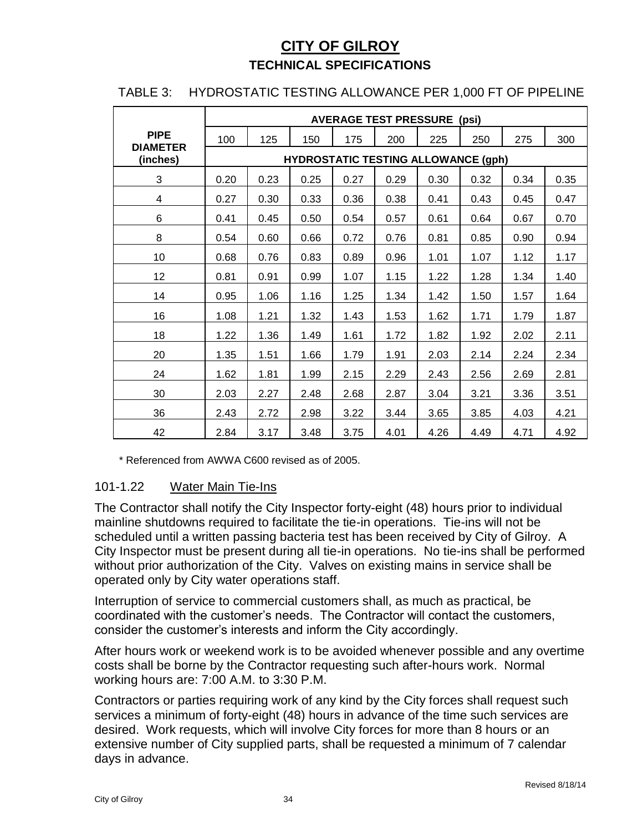#### TABLE 3: HYDROSTATIC TESTING ALLOWANCE PER 1,000 FT OF PIPELINE

|                             | <b>AVERAGE TEST PRESSURE</b><br>(psi) |      |                                            |      |      |      |      |      |      |
|-----------------------------|---------------------------------------|------|--------------------------------------------|------|------|------|------|------|------|
| <b>PIPE</b>                 | 100                                   | 125  | 150                                        | 175  | 200  | 225  | 250  | 275  | 300  |
| <b>DIAMETER</b><br>(inches) |                                       |      | <b>HYDROSTATIC TESTING ALLOWANCE (gph)</b> |      |      |      |      |      |      |
| 3                           | 0.20                                  | 0.23 | 0.25                                       | 0.27 | 0.29 | 0.30 | 0.32 | 0.34 | 0.35 |
| 4                           | 0.27                                  | 0.30 | 0.33                                       | 0.36 | 0.38 | 0.41 | 0.43 | 0.45 | 0.47 |
| 6                           | 0.41                                  | 0.45 | 0.50                                       | 0.54 | 0.57 | 0.61 | 0.64 | 0.67 | 0.70 |
| 8                           | 0.54                                  | 0.60 | 0.66                                       | 0.72 | 0.76 | 0.81 | 0.85 | 0.90 | 0.94 |
| 10                          | 0.68                                  | 0.76 | 0.83                                       | 0.89 | 0.96 | 1.01 | 1.07 | 1.12 | 1.17 |
| 12                          | 0.81                                  | 0.91 | 0.99                                       | 1.07 | 1.15 | 1.22 | 1.28 | 1.34 | 1.40 |
| 14                          | 0.95                                  | 1.06 | 1.16                                       | 1.25 | 1.34 | 1.42 | 1.50 | 1.57 | 1.64 |
| 16                          | 1.08                                  | 1.21 | 1.32                                       | 1.43 | 1.53 | 1.62 | 1.71 | 1.79 | 1.87 |
| 18                          | 1.22                                  | 1.36 | 1.49                                       | 1.61 | 1.72 | 1.82 | 1.92 | 2.02 | 2.11 |
| 20                          | 1.35                                  | 1.51 | 1.66                                       | 1.79 | 1.91 | 2.03 | 2.14 | 2.24 | 2.34 |
| 24                          | 1.62                                  | 1.81 | 1.99                                       | 2.15 | 2.29 | 2.43 | 2.56 | 2.69 | 2.81 |
| 30                          | 2.03                                  | 2.27 | 2.48                                       | 2.68 | 2.87 | 3.04 | 3.21 | 3.36 | 3.51 |
| 36                          | 2.43                                  | 2.72 | 2.98                                       | 3.22 | 3.44 | 3.65 | 3.85 | 4.03 | 4.21 |
| 42                          | 2.84                                  | 3.17 | 3.48                                       | 3.75 | 4.01 | 4.26 | 4.49 | 4.71 | 4.92 |

\* Referenced from AWWA C600 revised as of 2005.

#### 101-1.22 Water Main Tie-Ins

The Contractor shall notify the City Inspector forty-eight (48) hours prior to individual mainline shutdowns required to facilitate the tie-in operations. Tie-ins will not be scheduled until a written passing bacteria test has been received by City of Gilroy. A City Inspector must be present during all tie-in operations. No tie-ins shall be performed without prior authorization of the City. Valves on existing mains in service shall be operated only by City water operations staff.

Interruption of service to commercial customers shall, as much as practical, be coordinated with the customer's needs. The Contractor will contact the customers, consider the customer's interests and inform the City accordingly.

After hours work or weekend work is to be avoided whenever possible and any overtime costs shall be borne by the Contractor requesting such after-hours work. Normal working hours are: 7:00 A.M. to 3:30 P.M.

Contractors or parties requiring work of any kind by the City forces shall request such services a minimum of forty-eight (48) hours in advance of the time such services are desired. Work requests, which will involve City forces for more than 8 hours or an extensive number of City supplied parts, shall be requested a minimum of 7 calendar days in advance.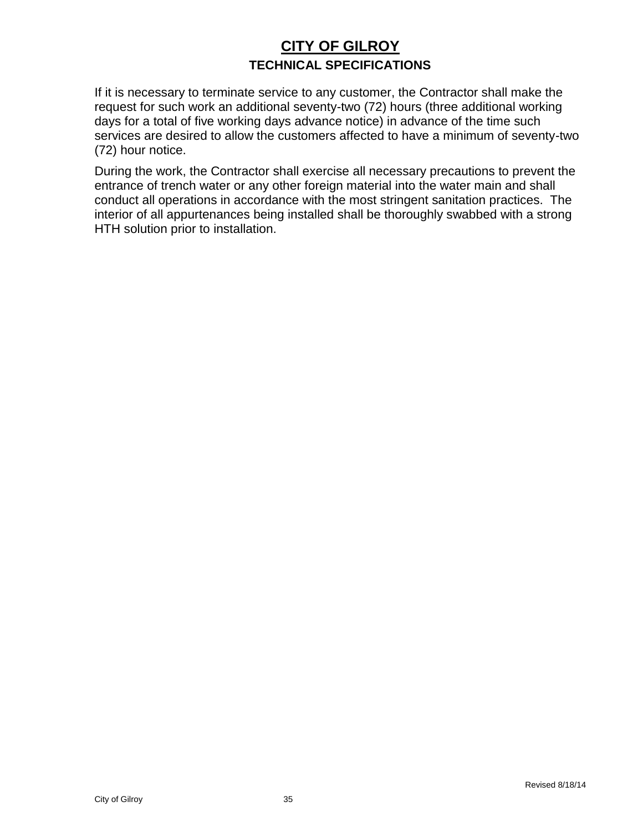If it is necessary to terminate service to any customer, the Contractor shall make the request for such work an additional seventy-two (72) hours (three additional working days for a total of five working days advance notice) in advance of the time such services are desired to allow the customers affected to have a minimum of seventy-two (72) hour notice.

During the work, the Contractor shall exercise all necessary precautions to prevent the entrance of trench water or any other foreign material into the water main and shall conduct all operations in accordance with the most stringent sanitation practices. The interior of all appurtenances being installed shall be thoroughly swabbed with a strong HTH solution prior to installation.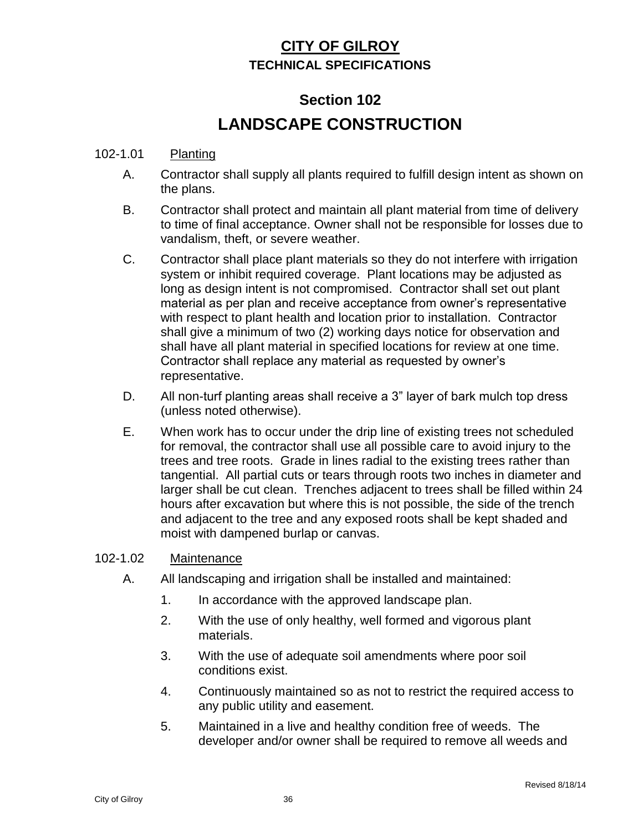# **Section 102 LANDSCAPE CONSTRUCTION**

#### 102-1.01 Planting

- A. Contractor shall supply all plants required to fulfill design intent as shown on the plans.
- B. Contractor shall protect and maintain all plant material from time of delivery to time of final acceptance. Owner shall not be responsible for losses due to vandalism, theft, or severe weather.
- C. Contractor shall place plant materials so they do not interfere with irrigation system or inhibit required coverage. Plant locations may be adjusted as long as design intent is not compromised. Contractor shall set out plant material as per plan and receive acceptance from owner's representative with respect to plant health and location prior to installation. Contractor shall give a minimum of two (2) working days notice for observation and shall have all plant material in specified locations for review at one time. Contractor shall replace any material as requested by owner's representative.
- D. All non-turf planting areas shall receive a 3" layer of bark mulch top dress (unless noted otherwise).
- E. When work has to occur under the drip line of existing trees not scheduled for removal, the contractor shall use all possible care to avoid injury to the trees and tree roots. Grade in lines radial to the existing trees rather than tangential. All partial cuts or tears through roots two inches in diameter and larger shall be cut clean. Trenches adjacent to trees shall be filled within 24 hours after excavation but where this is not possible, the side of the trench and adjacent to the tree and any exposed roots shall be kept shaded and moist with dampened burlap or canvas.

#### 102-1.02 Maintenance

- A. All landscaping and irrigation shall be installed and maintained:
	- 1. In accordance with the approved landscape plan.
	- 2. With the use of only healthy, well formed and vigorous plant materials.
	- 3. With the use of adequate soil amendments where poor soil conditions exist.
	- 4. Continuously maintained so as not to restrict the required access to any public utility and easement.
	- 5. Maintained in a live and healthy condition free of weeds. The developer and/or owner shall be required to remove all weeds and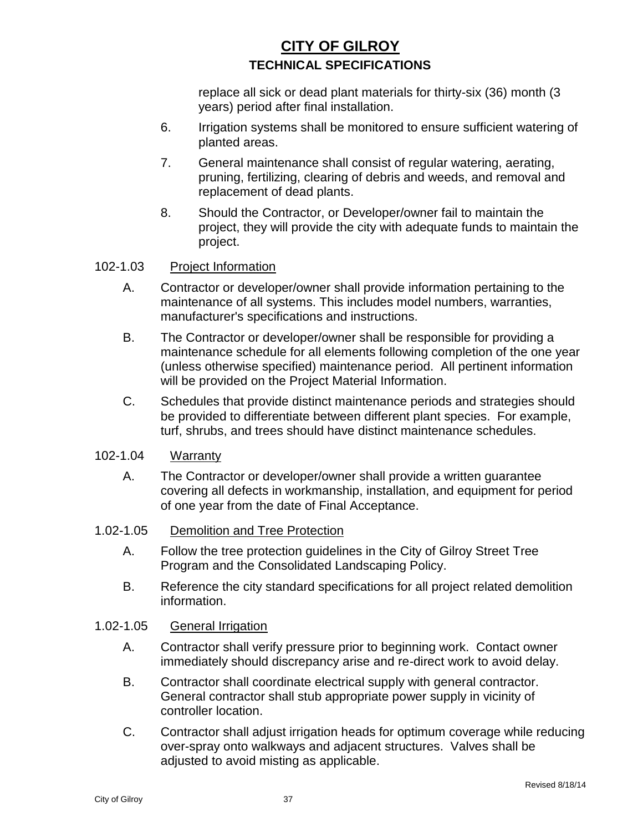replace all sick or dead plant materials for thirty-six (36) month (3 years) period after final installation.

- 6. Irrigation systems shall be monitored to ensure sufficient watering of planted areas.
- 7. General maintenance shall consist of regular watering, aerating, pruning, fertilizing, clearing of debris and weeds, and removal and replacement of dead plants.
- 8. Should the Contractor, or Developer/owner fail to maintain the project, they will provide the city with adequate funds to maintain the project.

#### 102-1.03 Project Information

- A. Contractor or developer/owner shall provide information pertaining to the maintenance of all systems. This includes model numbers, warranties, manufacturer's specifications and instructions.
- B. The Contractor or developer/owner shall be responsible for providing a maintenance schedule for all elements following completion of the one year (unless otherwise specified) maintenance period. All pertinent information will be provided on the Project Material Information.
- C. Schedules that provide distinct maintenance periods and strategies should be provided to differentiate between different plant species. For example, turf, shrubs, and trees should have distinct maintenance schedules.

#### 102-1.04 Warranty

A. The Contractor or developer/owner shall provide a written guarantee covering all defects in workmanship, installation, and equipment for period of one year from the date of Final Acceptance.

#### 1.02-1.05 Demolition and Tree Protection

- A. Follow the tree protection guidelines in the City of Gilroy Street Tree Program and the Consolidated Landscaping Policy.
- B. Reference the city standard specifications for all project related demolition information.

#### 1.02-1.05 General Irrigation

- A. Contractor shall verify pressure prior to beginning work. Contact owner immediately should discrepancy arise and re-direct work to avoid delay.
- B. Contractor shall coordinate electrical supply with general contractor. General contractor shall stub appropriate power supply in vicinity of controller location.
- C. Contractor shall adjust irrigation heads for optimum coverage while reducing over-spray onto walkways and adjacent structures. Valves shall be adjusted to avoid misting as applicable.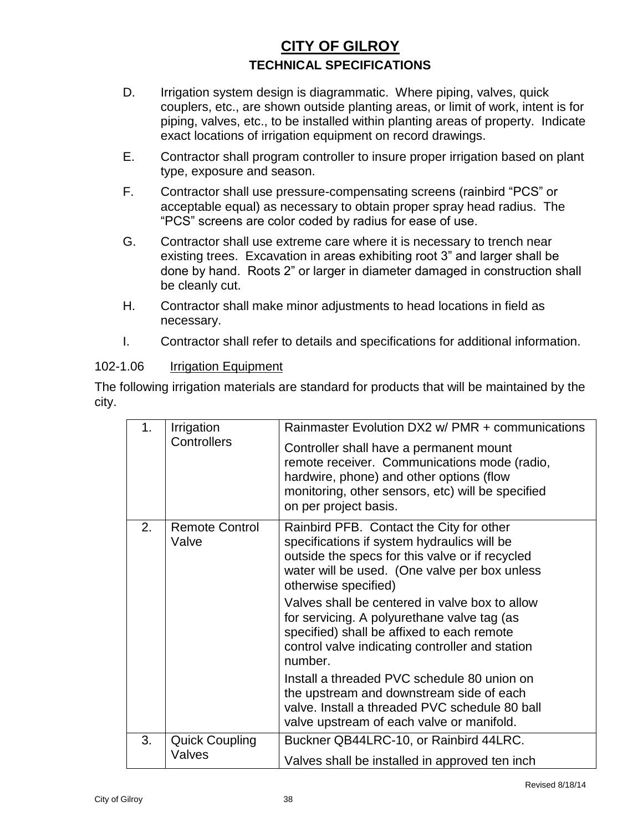- D. Irrigation system design is diagrammatic. Where piping, valves, quick couplers, etc., are shown outside planting areas, or limit of work, intent is for piping, valves, etc., to be installed within planting areas of property. Indicate exact locations of irrigation equipment on record drawings.
- E. Contractor shall program controller to insure proper irrigation based on plant type, exposure and season.
- F. Contractor shall use pressure-compensating screens (rainbird "PCS" or acceptable equal) as necessary to obtain proper spray head radius. The "PCS" screens are color coded by radius for ease of use.
- G. Contractor shall use extreme care where it is necessary to trench near existing trees. Excavation in areas exhibiting root 3" and larger shall be done by hand. Roots 2" or larger in diameter damaged in construction shall be cleanly cut.
- H. Contractor shall make minor adjustments to head locations in field as necessary.
- I. Contractor shall refer to details and specifications for additional information.

#### 102-1.06 Irrigation Equipment

The following irrigation materials are standard for products that will be maintained by the city.

| 1 <sub>1</sub> | Irrigation<br>Controllers       | Rainmaster Evolution DX2 w/ PMR + communications<br>Controller shall have a permanent mount<br>remote receiver. Communications mode (radio,<br>hardwire, phone) and other options (flow<br>monitoring, other sensors, etc) will be specified<br>on per project basis.                                                                                                                                                                                                                                                                                                                                                      |
|----------------|---------------------------------|----------------------------------------------------------------------------------------------------------------------------------------------------------------------------------------------------------------------------------------------------------------------------------------------------------------------------------------------------------------------------------------------------------------------------------------------------------------------------------------------------------------------------------------------------------------------------------------------------------------------------|
| 2 <sub>1</sub> | <b>Remote Control</b><br>Valve  | Rainbird PFB. Contact the City for other<br>specifications if system hydraulics will be<br>outside the specs for this valve or if recycled<br>water will be used. (One valve per box unless<br>otherwise specified)<br>Valves shall be centered in valve box to allow<br>for servicing. A polyurethane valve tag (as<br>specified) shall be affixed to each remote<br>control valve indicating controller and station<br>number.<br>Install a threaded PVC schedule 80 union on<br>the upstream and downstream side of each<br>valve. Install a threaded PVC schedule 80 ball<br>valve upstream of each valve or manifold. |
| 3.             | <b>Quick Coupling</b><br>Valves | Buckner QB44LRC-10, or Rainbird 44LRC.<br>Valves shall be installed in approved ten inch                                                                                                                                                                                                                                                                                                                                                                                                                                                                                                                                   |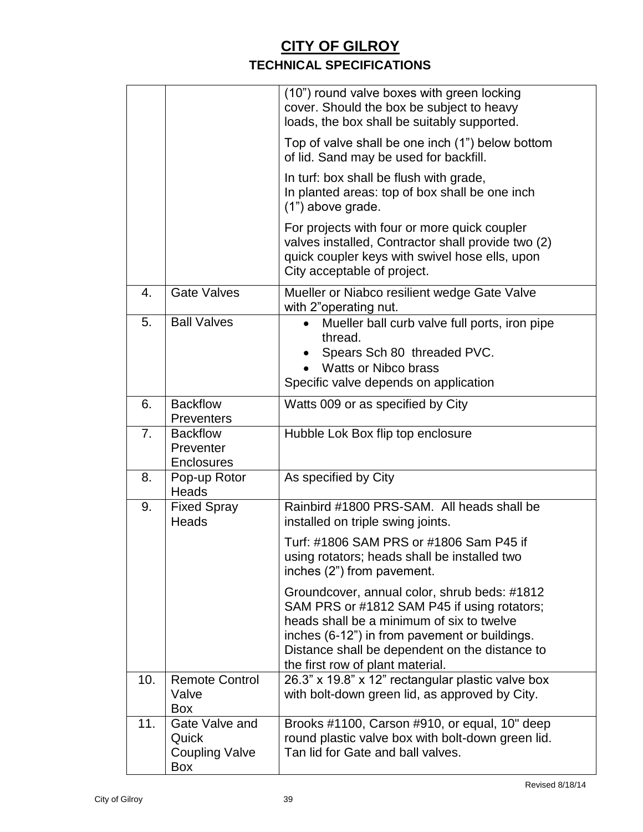|     |                                                         | (10") round valve boxes with green locking<br>cover. Should the box be subject to heavy<br>loads, the box shall be suitably supported.                                                                                                                                          |
|-----|---------------------------------------------------------|---------------------------------------------------------------------------------------------------------------------------------------------------------------------------------------------------------------------------------------------------------------------------------|
|     |                                                         | Top of valve shall be one inch (1") below bottom<br>of lid. Sand may be used for backfill.                                                                                                                                                                                      |
|     |                                                         | In turf: box shall be flush with grade,<br>In planted areas: top of box shall be one inch<br>(1") above grade.                                                                                                                                                                  |
|     |                                                         | For projects with four or more quick coupler<br>valves installed, Contractor shall provide two (2)<br>quick coupler keys with swivel hose ells, upon<br>City acceptable of project.                                                                                             |
| 4.  | <b>Gate Valves</b>                                      | Mueller or Niabco resilient wedge Gate Valve<br>with 2"operating nut.                                                                                                                                                                                                           |
| 5.  | <b>Ball Valves</b>                                      | Mueller ball curb valve full ports, iron pipe<br>thread.<br>Spears Sch 80 threaded PVC.<br><b>Watts or Nibco brass</b><br>Specific valve depends on application                                                                                                                 |
| 6.  | <b>Backflow</b><br><b>Preventers</b>                    | Watts 009 or as specified by City                                                                                                                                                                                                                                               |
| 7.  | <b>Backflow</b><br>Preventer<br><b>Enclosures</b>       | Hubble Lok Box flip top enclosure                                                                                                                                                                                                                                               |
| 8.  | Pop-up Rotor<br>Heads                                   | As specified by City                                                                                                                                                                                                                                                            |
| 9.  | <b>Fixed Spray</b><br>Heads                             | Rainbird #1800 PRS-SAM. All heads shall be<br>installed on triple swing joints.                                                                                                                                                                                                 |
|     |                                                         | Turf: #1806 SAM PRS or #1806 Sam P45 if<br>using rotators; heads shall be installed two<br>inches (2") from pavement.                                                                                                                                                           |
|     |                                                         | Groundcover, annual color, shrub beds: #1812<br>SAM PRS or #1812 SAM P45 if using rotators;<br>heads shall be a minimum of six to twelve<br>inches (6-12") in from pavement or buildings.<br>Distance shall be dependent on the distance to<br>the first row of plant material. |
| 10. | <b>Remote Control</b><br>Valve<br>Box                   | 26.3" x 19.8" x 12" rectangular plastic valve box<br>with bolt-down green lid, as approved by City.                                                                                                                                                                             |
| 11. | Gate Valve and<br>Quick<br><b>Coupling Valve</b><br>Box | Brooks #1100, Carson #910, or equal, 10" deep<br>round plastic valve box with bolt-down green lid.<br>Tan lid for Gate and ball valves.                                                                                                                                         |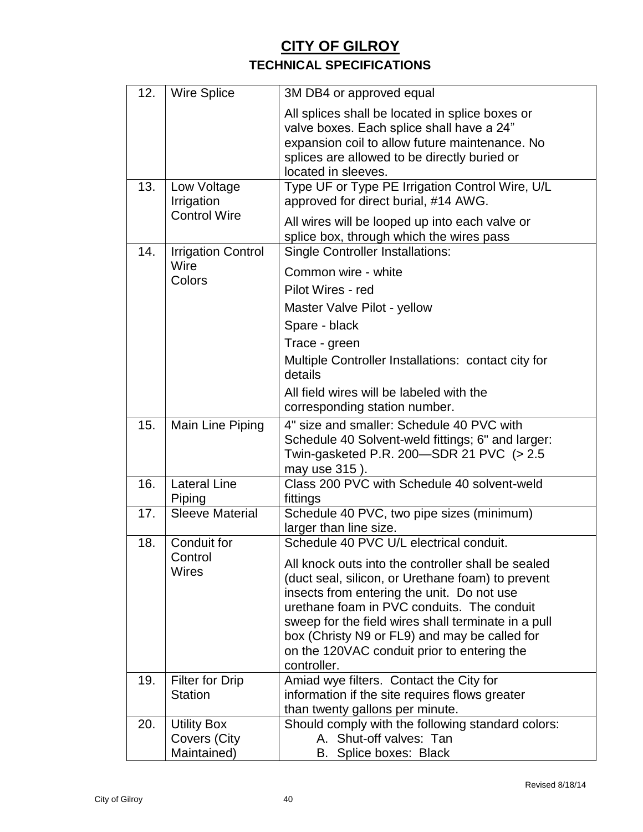| 12. | <b>Wire Splice</b>                                | 3M DB4 or approved equal                                                                                                                                                                                                                                                                                                                                                                                             |
|-----|---------------------------------------------------|----------------------------------------------------------------------------------------------------------------------------------------------------------------------------------------------------------------------------------------------------------------------------------------------------------------------------------------------------------------------------------------------------------------------|
|     |                                                   | All splices shall be located in splice boxes or<br>valve boxes. Each splice shall have a 24"<br>expansion coil to allow future maintenance. No<br>splices are allowed to be directly buried or<br>located in sleeves.                                                                                                                                                                                                |
| 13. | Low Voltage<br>Irrigation<br><b>Control Wire</b>  | Type UF or Type PE Irrigation Control Wire, U/L<br>approved for direct burial, #14 AWG.                                                                                                                                                                                                                                                                                                                              |
| 14. |                                                   | All wires will be looped up into each valve or<br>splice box, through which the wires pass                                                                                                                                                                                                                                                                                                                           |
|     | <b>Irrigation Control</b><br>Wire<br>Colors       | <b>Single Controller Installations:</b><br>Common wire - white<br>Pilot Wires - red<br>Master Valve Pilot - yellow<br>Spare - black<br>Trace - green<br>Multiple Controller Installations: contact city for<br>details                                                                                                                                                                                               |
|     |                                                   | All field wires will be labeled with the<br>corresponding station number.                                                                                                                                                                                                                                                                                                                                            |
| 15. | Main Line Piping                                  | 4" size and smaller: Schedule 40 PVC with<br>Schedule 40 Solvent-weld fittings; 6" and larger:<br>Twin-gasketed P.R. 200-SDR 21 PVC (> 2.5<br>may use 315).                                                                                                                                                                                                                                                          |
| 16. | <b>Lateral Line</b><br>Piping                     | Class 200 PVC with Schedule 40 solvent-weld<br>fittings                                                                                                                                                                                                                                                                                                                                                              |
| 17. | <b>Sleeve Material</b>                            | Schedule 40 PVC, two pipe sizes (minimum)<br>larger than line size.                                                                                                                                                                                                                                                                                                                                                  |
| 18. | Conduit for<br>Control<br>Wires                   | Schedule 40 PVC U/L electrical conduit.<br>All knock outs into the controller shall be sealed<br>(duct seal, silicon, or Urethane foam) to prevent<br>insects from entering the unit. Do not use<br>urethane foam in PVC conduits. The conduit<br>sweep for the field wires shall terminate in a pull<br>box (Christy N9 or FL9) and may be called for<br>on the 120VAC conduit prior to entering the<br>controller. |
| 19. | Filter for Drip<br><b>Station</b>                 | Amiad wye filters. Contact the City for<br>information if the site requires flows greater<br>than twenty gallons per minute.                                                                                                                                                                                                                                                                                         |
| 20. | <b>Utility Box</b><br>Covers (City<br>Maintained) | Should comply with the following standard colors:<br>A. Shut-off valves: Tan<br>B. Splice boxes: Black                                                                                                                                                                                                                                                                                                               |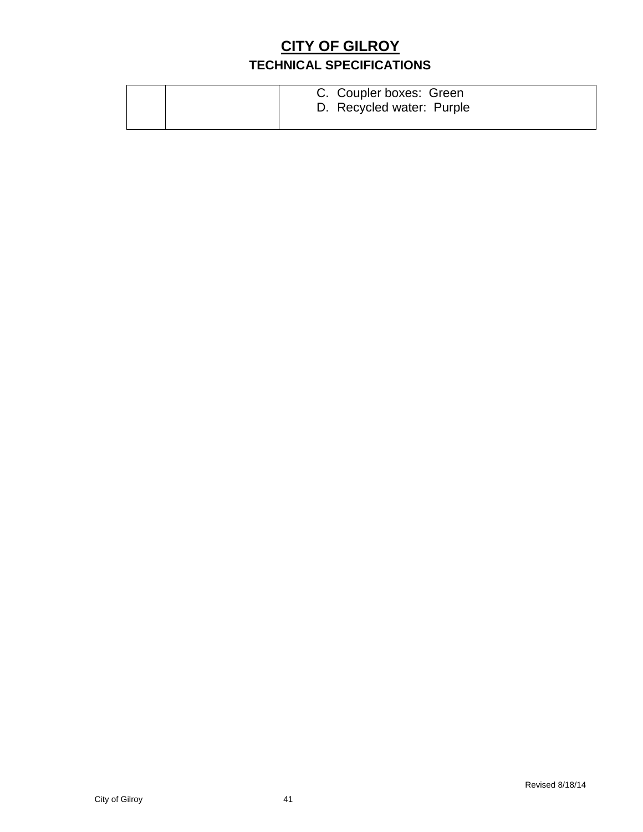|  | C. Coupler boxes: Green<br>D. Recycled water: Purple |  |
|--|------------------------------------------------------|--|
|--|------------------------------------------------------|--|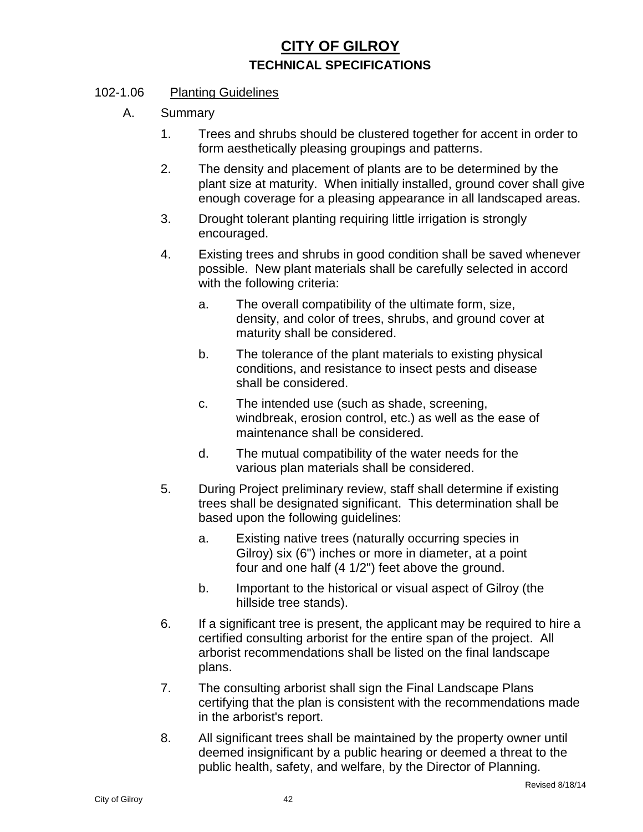#### 102-1.06 Planting Guidelines

- A. Summary
	- 1. Trees and shrubs should be clustered together for accent in order to form aesthetically pleasing groupings and patterns.
	- 2. The density and placement of plants are to be determined by the plant size at maturity. When initially installed, ground cover shall give enough coverage for a pleasing appearance in all landscaped areas.
	- 3. Drought tolerant planting requiring little irrigation is strongly encouraged.
	- 4. Existing trees and shrubs in good condition shall be saved whenever possible. New plant materials shall be carefully selected in accord with the following criteria:
		- a. The overall compatibility of the ultimate form, size, density, and color of trees, shrubs, and ground cover at maturity shall be considered.
		- b. The tolerance of the plant materials to existing physical conditions, and resistance to insect pests and disease shall be considered.
		- c. The intended use (such as shade, screening, windbreak, erosion control, etc.) as well as the ease of maintenance shall be considered.
		- d. The mutual compatibility of the water needs for the various plan materials shall be considered.
	- 5. During Project preliminary review, staff shall determine if existing trees shall be designated significant. This determination shall be based upon the following guidelines:
		- a. Existing native trees (naturally occurring species in Gilroy) six (6") inches or more in diameter, at a point four and one half (4 1/2") feet above the ground.
		- b. Important to the historical or visual aspect of Gilroy (the hillside tree stands).
	- 6. If a significant tree is present, the applicant may be required to hire a certified consulting arborist for the entire span of the project. All arborist recommendations shall be listed on the final landscape plans.
	- 7. The consulting arborist shall sign the Final Landscape Plans certifying that the plan is consistent with the recommendations made in the arborist's report.
	- 8. All significant trees shall be maintained by the property owner until deemed insignificant by a public hearing or deemed a threat to the public health, safety, and welfare, by the Director of Planning.